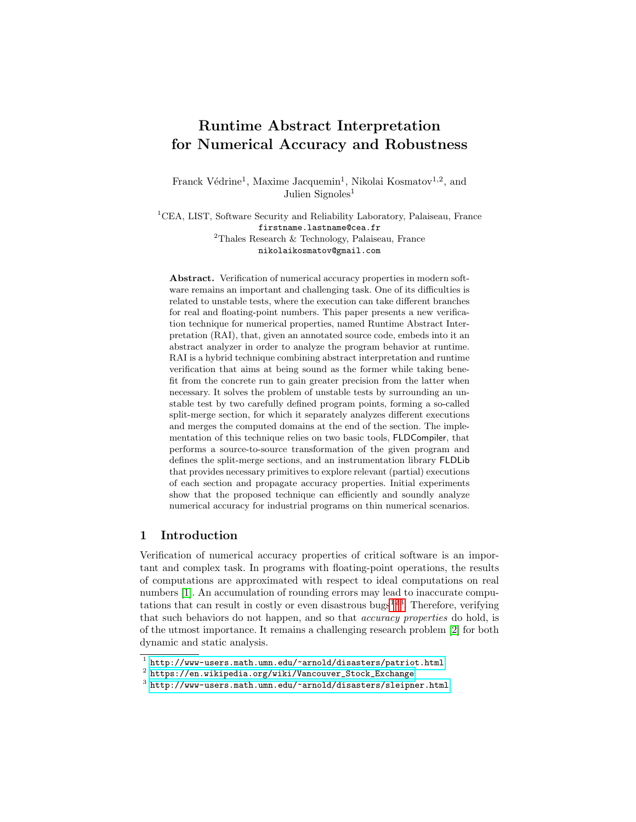# Runtime Abstract Interpretation for Numerical Accuracy and Robustness

Franck Védrine<sup>1</sup>, Maxime Jacquemin<sup>1</sup>, Nikolai Kosmatov<sup>1,2</sup>, and Julien Signoles<sup>1</sup>

<sup>1</sup>CEA, LIST, Software Security and Reliability Laboratory, Palaiseau, France firstname.lastname@cea.fr  $2$ Thales Research & Technology, Palaiseau, France nikolaikosmatov@gmail.com

Abstract. Verification of numerical accuracy properties in modern software remains an important and challenging task. One of its difficulties is related to unstable tests, where the execution can take different branches for real and floating-point numbers. This paper presents a new verification technique for numerical properties, named Runtime Abstract Interpretation (RAI), that, given an annotated source code, embeds into it an abstract analyzer in order to analyze the program behavior at runtime. RAI is a hybrid technique combining abstract interpretation and runtime verification that aims at being sound as the former while taking benefit from the concrete run to gain greater precision from the latter when necessary. It solves the problem of unstable tests by surrounding an unstable test by two carefully defined program points, forming a so-called split-merge section, for which it separately analyzes different executions and merges the computed domains at the end of the section. The implementation of this technique relies on two basic tools, FLDCompiler, that performs a source-to-source transformation of the given program and defines the split-merge sections, and an instrumentation library FLDLib that provides necessary primitives to explore relevant (partial) executions of each section and propagate accuracy properties. Initial experiments show that the proposed technique can efficiently and soundly analyze numerical accuracy for industrial programs on thin numerical scenarios.

## 1 Introduction

Verification of numerical accuracy properties of critical software is an important and complex task. In programs with floating-point operations, the results of computations are approximated with respect to ideal computations on real numbers [\[1\]](#page-20-0). An accumulation of rounding errors may lead to inaccurate compu-tations that can result in costly or even disastrous bugs<sup>[1](#page-0-0)[2](#page-0-1)[3](#page-0-2)</sup>. Therefore, verifying that such behaviors do not happen, and so that accuracy properties do hold, is of the utmost importance. It remains a challenging research problem [\[2\]](#page-20-1) for both dynamic and static analysis.

<span id="page-0-0"></span><sup>&</sup>lt;sup>1</sup> <http://www-users.math.umn.edu/~arnold/disasters/patriot.html>

<span id="page-0-1"></span> $^{\rm 2}$  [https://en.wikipedia.org/wiki/Vancouver\\_Stock\\_Exchange](https://en.wikipedia.org/wiki/Vancouver_Stock_Exchange)

<span id="page-0-2"></span> $^3$  <http://www-users.math.umn.edu/~arnold/disasters/sleipner.html>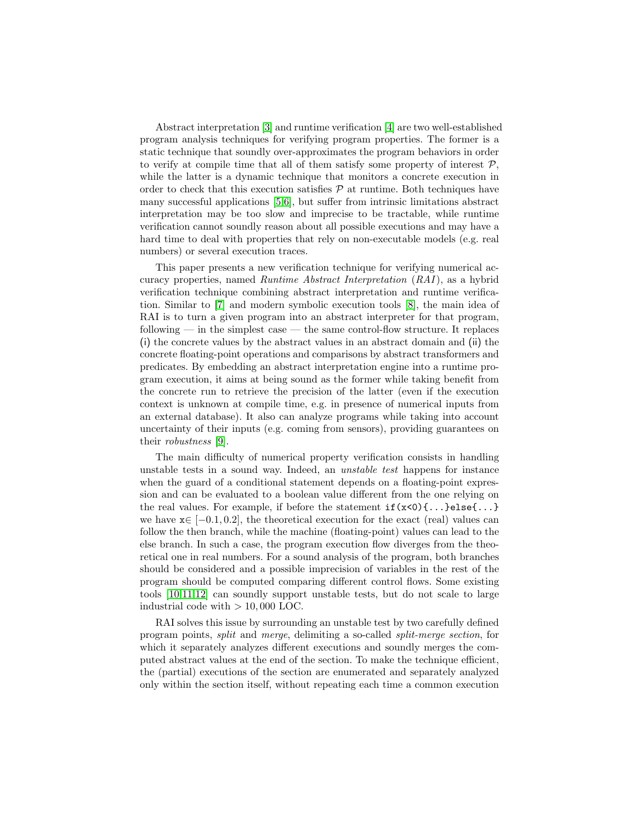Abstract interpretation [\[3\]](#page-20-2) and runtime verification [\[4\]](#page-20-3) are two well-established program analysis techniques for verifying program properties. The former is a static technique that soundly over-approximates the program behaviors in order to verify at compile time that all of them satisfy some property of interest  $P$ , while the latter is a dynamic technique that monitors a concrete execution in order to check that this execution satisfies  $P$  at runtime. Both techniques have many successful applications [\[5,](#page-20-4)[6\]](#page-20-5), but suffer from intrinsic limitations abstract interpretation may be too slow and imprecise to be tractable, while runtime verification cannot soundly reason about all possible executions and may have a hard time to deal with properties that rely on non-executable models (e.g. real numbers) or several execution traces.

This paper presents a new verification technique for verifying numerical accuracy properties, named Runtime Abstract Interpretation (RAI), as a hybrid verification technique combining abstract interpretation and runtime verification. Similar to [\[7\]](#page-20-6) and modern symbolic execution tools [\[8\]](#page-20-7), the main idea of RAI is to turn a given program into an abstract interpreter for that program, following — in the simplest case — the same control-flow structure. It replaces (i) the concrete values by the abstract values in an abstract domain and (ii) the concrete floating-point operations and comparisons by abstract transformers and predicates. By embedding an abstract interpretation engine into a runtime program execution, it aims at being sound as the former while taking benefit from the concrete run to retrieve the precision of the latter (even if the execution context is unknown at compile time, e.g. in presence of numerical inputs from an external database). It also can analyze programs while taking into account uncertainty of their inputs (e.g. coming from sensors), providing guarantees on their robustness [\[9\]](#page-20-8).

The main difficulty of numerical property verification consists in handling unstable tests in a sound way. Indeed, an unstable test happens for instance when the guard of a conditional statement depends on a floating-point expression and can be evaluated to a boolean value different from the one relying on the real values. For example, if before the statement  $if(x<0)\{... \}$ else $\{... \}$ we have  $x \in [-0.1, 0.2]$ , the theoretical execution for the exact (real) values can follow the then branch, while the machine (floating-point) values can lead to the else branch. In such a case, the program execution flow diverges from the theoretical one in real numbers. For a sound analysis of the program, both branches should be considered and a possible imprecision of variables in the rest of the program should be computed comparing different control flows. Some existing tools [\[10](#page-20-9)[,11](#page-20-10)[,12\]](#page-20-11) can soundly support unstable tests, but do not scale to large industrial code with  $> 10,000$  LOC.

RAI solves this issue by surrounding an unstable test by two carefully defined program points, split and merge, delimiting a so-called split-merge section, for which it separately analyzes different executions and soundly merges the computed abstract values at the end of the section. To make the technique efficient, the (partial) executions of the section are enumerated and separately analyzed only within the section itself, without repeating each time a common execution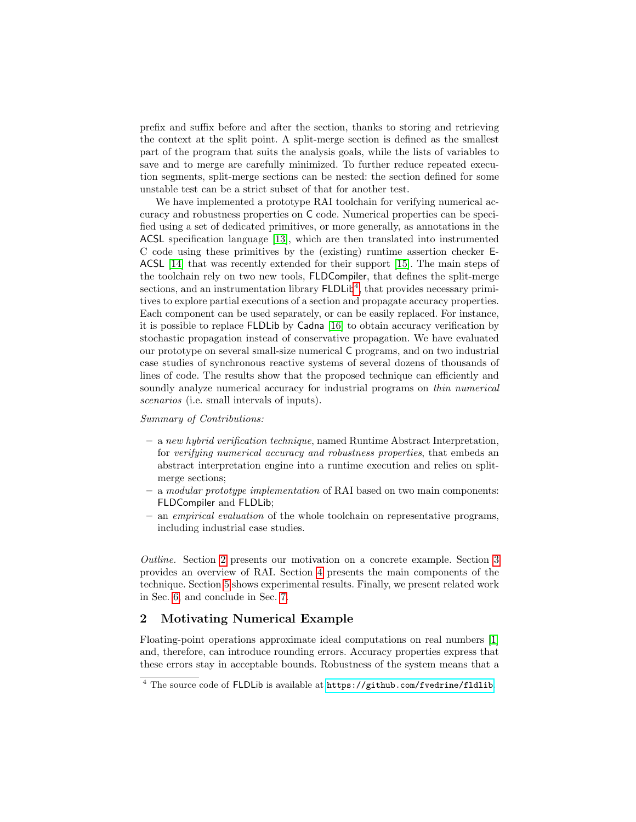prefix and suffix before and after the section, thanks to storing and retrieving the context at the split point. A split-merge section is defined as the smallest part of the program that suits the analysis goals, while the lists of variables to save and to merge are carefully minimized. To further reduce repeated execution segments, split-merge sections can be nested: the section defined for some unstable test can be a strict subset of that for another test.

We have implemented a prototype RAI toolchain for verifying numerical accuracy and robustness properties on C code. Numerical properties can be specified using a set of dedicated primitives, or more generally, as annotations in the ACSL specification language [\[13\]](#page-20-12), which are then translated into instrumented C code using these primitives by the (existing) runtime assertion checker E-ACSL [\[14\]](#page-21-0) that was recently extended for their support [\[15\]](#page-21-1). The main steps of the toolchain rely on two new tools, FLDCompiler, that defines the split-merge sections, and an instrumentation library  $FLDLib<sup>4</sup>$  $FLDLib<sup>4</sup>$  $FLDLib<sup>4</sup>$ , that provides necessary primitives to explore partial executions of a section and propagate accuracy properties. Each component can be used separately, or can be easily replaced. For instance, it is possible to replace FLDLib by Cadna [\[16\]](#page-21-2) to obtain accuracy verification by stochastic propagation instead of conservative propagation. We have evaluated our prototype on several small-size numerical C programs, and on two industrial case studies of synchronous reactive systems of several dozens of thousands of lines of code. The results show that the proposed technique can efficiently and soundly analyze numerical accuracy for industrial programs on *thin numerical* scenarios (i.e. small intervals of inputs).

#### Summary of Contributions:

- a new hybrid verification technique, named Runtime Abstract Interpretation, for verifying numerical accuracy and robustness properties, that embeds an abstract interpretation engine into a runtime execution and relies on splitmerge sections;
- a modular prototype implementation of RAI based on two main components: FLDCompiler and FLDLib;
- an empirical evaluation of the whole toolchain on representative programs, including industrial case studies.

Outline. Section [2](#page-2-1) presents our motivation on a concrete example. Section [3](#page-4-0) provides an overview of RAI. Section [4](#page-6-0) presents the main components of the technique. Section [5](#page-14-0) shows experimental results. Finally, we present related work in Sec. [6,](#page-18-0) and conclude in Sec. [7.](#page-19-0)

## <span id="page-2-1"></span>2 Motivating Numerical Example

Floating-point operations approximate ideal computations on real numbers [\[1\]](#page-20-0) and, therefore, can introduce rounding errors. Accuracy properties express that these errors stay in acceptable bounds. Robustness of the system means that a

<span id="page-2-0"></span><sup>&</sup>lt;sup>4</sup> The source code of FLDLib is available at <https://github.com/fvedrine/fldlib>.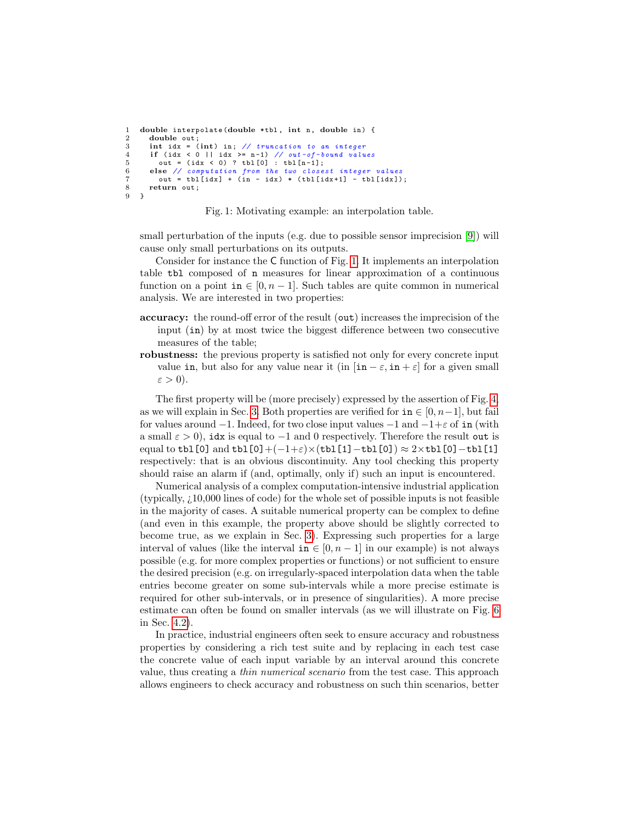```
1 double interpolate (double *tbl, int n, double in) {<br>2 double out:
2 double out;<br>3 int idx = (\frac{3}{2} int idx = (int) in; // truncation to an integer
4 if (idx < 0 || idx > = n-1) // out-of-bound \text{ values}<br>5 out = (idx < 0) ? tbl[0] : tbl[n-1];
6 e lse // computation from the two closest integer values
7 out = tbl [idx] + (in - idx) * (tbl [idx+1] - tbl [idx]);<br>8 return out:
      return out:
9 }
```


small perturbation of the inputs (e.g. due to possible sensor imprecision [\[9\]](#page-20-8)) will cause only small perturbations on its outputs.

Consider for instance the C function of Fig. [1.](#page-3-0) It implements an interpolation table tbl composed of n measures for linear approximation of a continuous function on a point in  $\in [0, n-1]$ . Such tables are quite common in numerical analysis. We are interested in two properties:

- accuracy: the round-off error of the result (out) increases the imprecision of the input (in) by at most twice the biggest difference between two consecutive measures of the table;
- robustness: the previous property is satisfied not only for every concrete input value in, but also for any value near it (in  $[\text{in} - \varepsilon, \text{in} + \varepsilon]$  for a given small  $\varepsilon > 0$ ).

The first property will be (more precisely) expressed by the assertion of Fig. [4,](#page-7-0) as we will explain in Sec. [3.](#page-4-0) Both properties are verified for  $in \in [0, n-1]$ , but fail for values around  $-1$ . Indeed, for two close input values  $-1$  and  $-1+\varepsilon$  of in (with a small  $\varepsilon > 0$ ), idx is equal to  $-1$  and 0 respectively. Therefore the result out is equal to tbl[0] and tbl[0]+(-1+ $\varepsilon$ )×(tbl[1]-tbl[0]) ≈ 2×tbl[0]-tbl[1] respectively: that is an obvious discontinuity. Any tool checking this property should raise an alarm if (and, optimally, only if) such an input is encountered.

Numerical analysis of a complex computation-intensive industrial application (typically, ¿10,000 lines of code) for the whole set of possible inputs is not feasible in the majority of cases. A suitable numerical property can be complex to define (and even in this example, the property above should be slightly corrected to become true, as we explain in Sec. [3\)](#page-4-0). Expressing such properties for a large interval of values (like the interval in  $\in [0, n-1]$  in our example) is not always possible (e.g. for more complex properties or functions) or not sufficient to ensure the desired precision (e.g. on irregularly-spaced interpolation data when the table entries become greater on some sub-intervals while a more precise estimate is required for other sub-intervals, or in presence of singularities). A more precise estimate can often be found on smaller intervals (as we will illustrate on Fig. [6](#page-10-0) in Sec. [4.2\)](#page-8-0).

In practice, industrial engineers often seek to ensure accuracy and robustness properties by considering a rich test suite and by replacing in each test case the concrete value of each input variable by an interval around this concrete value, thus creating a thin numerical scenario from the test case. This approach allows engineers to check accuracy and robustness on such thin scenarios, better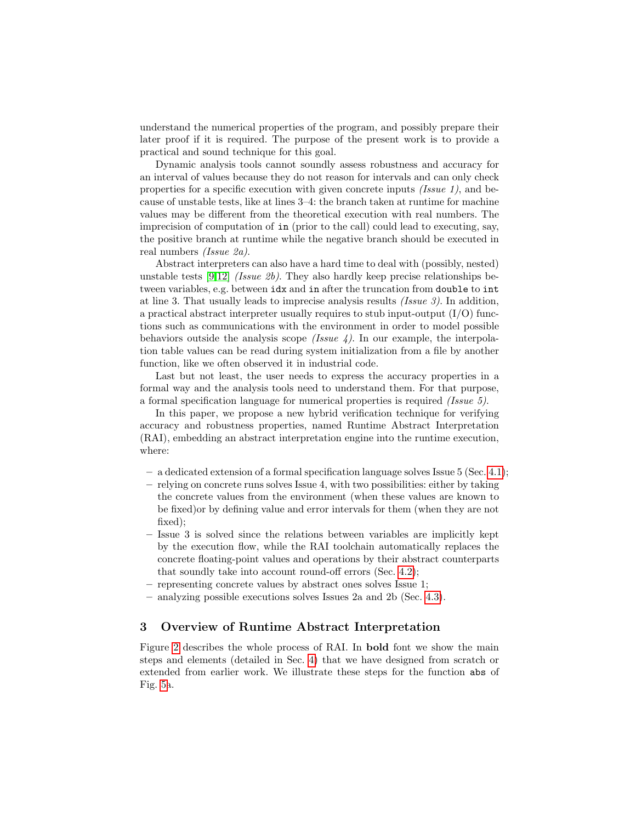understand the numerical properties of the program, and possibly prepare their later proof if it is required. The purpose of the present work is to provide a practical and sound technique for this goal.

Dynamic analysis tools cannot soundly assess robustness and accuracy for an interval of values because they do not reason for intervals and can only check properties for a specific execution with given concrete inputs  $(Is$ cause of unstable tests, like at lines 3–4: the branch taken at runtime for machine values may be different from the theoretical execution with real numbers. The imprecision of computation of in (prior to the call) could lead to executing, say, the positive branch at runtime while the negative branch should be executed in real numbers (Issue 2a).

Abstract interpreters can also have a hard time to deal with (possibly, nested) unstable tests [\[9](#page-20-8)[,12\]](#page-20-11) *(Issue 2b)*. They also hardly keep precise relationships between variables, e.g. between idx and in after the truncation from double to int at line 3. That usually leads to imprecise analysis results (Issue 3). In addition, a practical abstract interpreter usually requires to stub input-output  $(I/O)$  functions such as communications with the environment in order to model possible behaviors outside the analysis scope *(Issue 4)*. In our example, the interpolation table values can be read during system initialization from a file by another function, like we often observed it in industrial code.

Last but not least, the user needs to express the accuracy properties in a formal way and the analysis tools need to understand them. For that purpose, a formal specification language for numerical properties is required (Issue 5).

In this paper, we propose a new hybrid verification technique for verifying accuracy and robustness properties, named Runtime Abstract Interpretation (RAI), embedding an abstract interpretation engine into the runtime execution, where:

- a dedicated extension of a formal specification language solves Issue 5 (Sec. [4.1\)](#page-6-1);
- relying on concrete runs solves Issue 4, with two possibilities: either by taking the concrete values from the environment (when these values are known to be fixed)or by defining value and error intervals for them (when they are not fixed);
- Issue 3 is solved since the relations between variables are implicitly kept by the execution flow, while the RAI toolchain automatically replaces the concrete floating-point values and operations by their abstract counterparts that soundly take into account round-off errors (Sec. [4.2\)](#page-8-0);
- representing concrete values by abstract ones solves Issue 1;
- analyzing possible executions solves Issues 2a and 2b (Sec. [4.3\)](#page-10-1).

# <span id="page-4-0"></span>3 Overview of Runtime Abstract Interpretation

Figure [2](#page-5-0) describes the whole process of RAI. In bold font we show the main steps and elements (detailed in Sec. [4\)](#page-6-0) that we have designed from scratch or extended from earlier work. We illustrate these steps for the function abs of Fig. [5a](#page-9-0).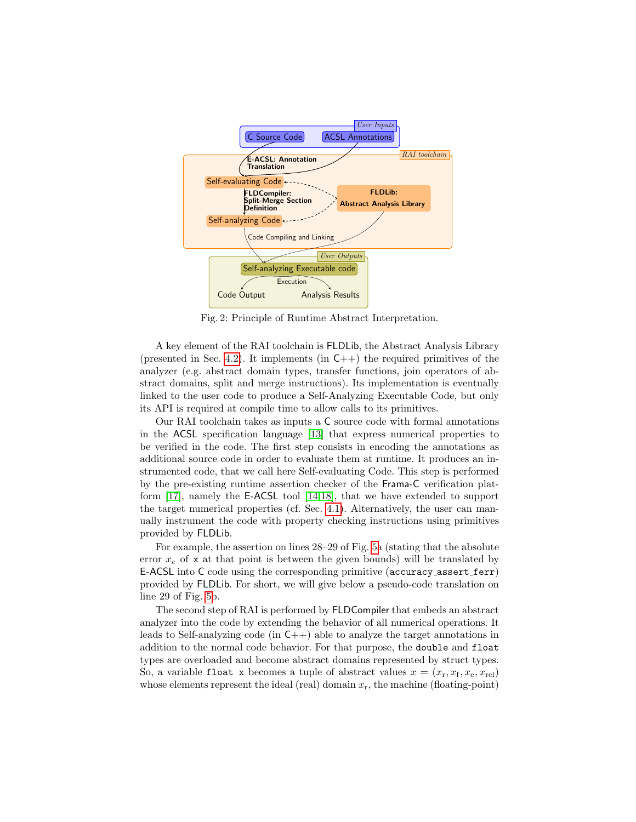<span id="page-5-0"></span>

Fig. 2: Principle of Runtime Abstract Interpretation.

A key element of the RAI toolchain is FLDLib, the Abstract Analysis Library (presented in Sec. [4.2\)](#page-8-0). It implements (in  $C_{++}$ ) the required primitives of the analyzer (e.g. abstract domain types, transfer functions, join operators of abstract domains, split and merge instructions). Its implementation is eventually linked to the user code to produce a Self-Analyzing Executable Code, but only its API is required at compile time to allow calls to its primitives.

Our RAI toolchain takes as inputs a C source code with formal annotations in the ACSL specification language [\[13\]](#page-20-12) that express numerical properties to be verified in the code. The first step consists in encoding the annotations as additional source code in order to evaluate them at runtime. It produces an instrumented code, that we call here Self-evaluating Code. This step is performed by the pre-existing runtime assertion checker of the Frama-C verification platform [\[17\]](#page-21-3), namely the E-ACSL tool [\[14](#page-21-0)[,18\]](#page-21-4), that we have extended to support the target numerical properties (cf. Sec. [4.1\)](#page-6-1). Alternatively, the user can manually instrument the code with property checking instructions using primitives provided by FLDLib.

For example, the assertion on lines 28–29 of Fig. [5a](#page-9-0) (stating that the absolute error  $x_e$  of x at that point is between the given bounds) will be translated by E-ACSL into C code using the corresponding primitive (accuracy assert ferr) provided by FLDLib. For short, we will give below a pseudo-code translation on line 29 of Fig. [5b](#page-9-0).

The second step of RAI is performed by FLDCompiler that embeds an abstract analyzer into the code by extending the behavior of all numerical operations. It leads to Self-analyzing code (in  $C_{++}$ ) able to analyze the target annotations in addition to the normal code behavior. For that purpose, the double and float types are overloaded and become abstract domains represented by struct types. So, a variable float x becomes a tuple of abstract values  $x = (x_r, x_f, x_e, x_{rel})$ whose elements represent the ideal (real) domain  $x_r$ , the machine (floating-point)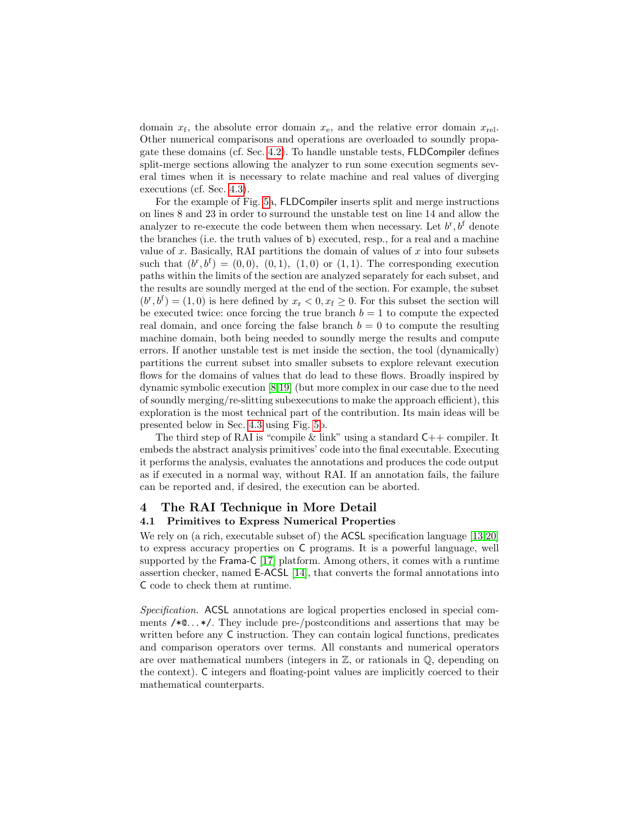domain  $x_f$ , the absolute error domain  $x_e$ , and the relative error domain  $x_{rel}$ . Other numerical comparisons and operations are overloaded to soundly propagate these domains (cf. Sec. [4.2\)](#page-8-0). To handle unstable tests, FLDCompiler defines split-merge sections allowing the analyzer to run some execution segments several times when it is necessary to relate machine and real values of diverging executions (cf. Sec. [4.3\)](#page-10-1).

For the example of Fig. [5a](#page-9-0), FLDCompiler inserts split and merge instructions on lines 8 and 23 in order to surround the unstable test on line 14 and allow the analyzer to re-execute the code between them when necessary. Let  $b^r, b^f$  denote the branches (i.e. the truth values of b) executed, resp., for a real and a machine value of x. Basically, RAI partitions the domain of values of  $x$  into four subsets such that  $(b^r, b^f) = (0, 0), (0, 1), (1, 0)$  or  $(1, 1)$ . The corresponding execution paths within the limits of the section are analyzed separately for each subset, and the results are soundly merged at the end of the section. For example, the subset  $(b^r, b^f) = (1, 0)$  is here defined by  $x_r < 0, x_f \ge 0$ . For this subset the section will be executed twice: once forcing the true branch  $b = 1$  to compute the expected real domain, and once forcing the false branch  $b = 0$  to compute the resulting machine domain, both being needed to soundly merge the results and compute errors. If another unstable test is met inside the section, the tool (dynamically) partitions the current subset into smaller subsets to explore relevant execution flows for the domains of values that do lead to these flows. Broadly inspired by dynamic symbolic execution [\[8,](#page-20-7)[19\]](#page-21-5) (but more complex in our case due to the need of soundly merging/re-slitting subexecutions to make the approach efficient), this exploration is the most technical part of the contribution. Its main ideas will be presented below in Sec. [4.3](#page-10-1) using Fig. [5b](#page-9-0).

The third step of RAI is "compile  $\&$  link" using a standard  $C++$  compiler. It embeds the abstract analysis primitives' code into the final executable. Executing it performs the analysis, evaluates the annotations and produces the code output as if executed in a normal way, without RAI. If an annotation fails, the failure can be reported and, if desired, the execution can be aborted.

## <span id="page-6-0"></span>4 The RAI Technique in More Detail

#### <span id="page-6-1"></span>4.1 Primitives to Express Numerical Properties

We rely on (a rich, executable subset of) the ACSL specification language [\[13,](#page-20-12)[20\]](#page-21-6) to express accuracy properties on C programs. It is a powerful language, well supported by the Frama-C  $[17]$  platform. Among others, it comes with a runtime assertion checker, named E-ACSL [\[14\]](#page-21-0), that converts the formal annotations into C code to check them at runtime.

Specification. ACSL annotations are logical properties enclosed in special comments /\*@. . . \*/. They include pre-/postconditions and assertions that may be written before any C instruction. They can contain logical functions, predicates and comparison operators over terms. All constants and numerical operators are over mathematical numbers (integers in  $\mathbb{Z}$ , or rationals in  $\mathbb{Q}$ , depending on the context). C integers and floating-point values are implicitly coerced to their mathematical counterparts.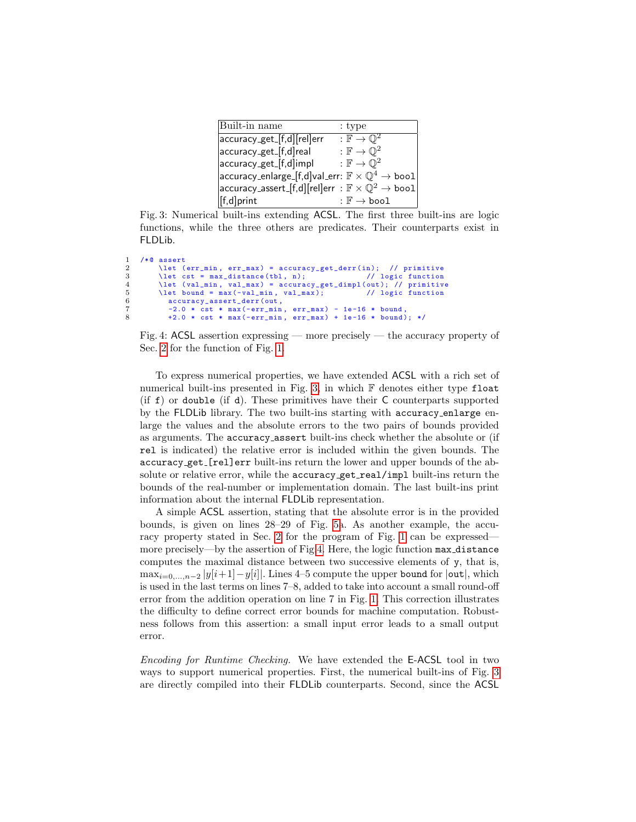<span id="page-7-1"></span>

| Built-in name                                                                              | : type                                 |
|--------------------------------------------------------------------------------------------|----------------------------------------|
| accuracy_get_[f,d][rel]err                                                                 | : $\mathbb{F} \to \mathbb{Q}^2$        |
| accuracy_get_[f,d]real                                                                     | : $\mathbb{F} \to \mathbb{Q}^2$        |
| accuracy_get_[f,d]impl                                                                     | : $\mathbb{F} \to \mathbb{Q}^2$        |
| accuracy_enlarge_[f,d]val_err: $\mathbb{F} \times \mathbb{Q}^4 \to \texttt{bool} $         |                                        |
| accuracy_assert_[f,d][rel]err $\,:\mathbb{F}\times\mathbb{Q}^{2}\rightarrow\mathsf{bool} $ |                                        |
| $[[f,d]$ print                                                                             | : $\mathbb{F} \rightarrow \text{bool}$ |

Fig. 3: Numerical built-ins extending ACSL. The first three built-ins are logic functions, while the three others are predicates. Their counterparts exist in FLDLib.

```
\frac{1}{2} /*0 assert<br>2 \let (
2 \let ( err_min, err_max ) = accuracy_get_derr (in); // primitive<br>3 \let cst = max_distance (tbl, n); // logic function
3 \ let cst = max_distance (tbl, n);<br>4 \ let (val_min, val_max) = accuracy_get_ou
4 \let ( val_min, val_max ) = accuracy_get_dimpl ( out ); // primitive<br>5 \let bound = max (-val_min, val_max ); // logic function
5 \ let bound = max(-val\_min, val\_max);<br>6 accuracy\_assert\_derr(out,6 accuracy_assert_derr (out,<br>
7 -2.0 * cst * max (-err_min
7 -2.0 * cst * max (-err_min, err_max) - 1e-16 * bound,<br>8 +2.0 * cst * max (-err min, err max) + 1e-16 * bound)
                +2.0 * \text{cst} * \text{max}(-\text{err\_min}, \text{err\_max}) + 1e-16 * \text{bound}); */
```
Fig. 4: ACSL assertion expressing — more precisely — the accuracy property of Sec. [2](#page-2-1) for the function of Fig. [1.](#page-3-0)

To express numerical properties, we have extended ACSL with a rich set of numerical built-ins presented in Fig. [3,](#page-7-1) in which  $F$  denotes either type float (if  $f$ ) or double (if d). These primitives have their C counterparts supported by the FLDLib library. The two built-ins starting with accuracy enlarge enlarge the values and the absolute errors to the two pairs of bounds provided as arguments. The accuracy assert built-ins check whether the absolute or (if rel is indicated) the relative error is included within the given bounds. The accuracy get [rel]err built-ins return the lower and upper bounds of the absolute or relative error, while the accuracy get real/impl built-ins return the bounds of the real-number or implementation domain. The last built-ins print information about the internal FLDLib representation.

A simple ACSL assertion, stating that the absolute error is in the provided bounds, is given on lines 28–29 of Fig. [5a](#page-9-0). As another example, the accuracy property stated in Sec. [2](#page-2-1) for the program of Fig. [1](#page-3-0) can be expressed more precisely—by the assertion of Fig[.4.](#page-7-0) Here, the logic function max distance computes the maximal distance between two successive elements of y, that is,  $\max_{i=0,\ldots,n-2} |y[i+1]-y[i]|$ . Lines 4–5 compute the upper bound for  $|\text{out}|$ , which is used in the last terms on lines 7–8, added to take into account a small round-off error from the addition operation on line 7 in Fig. [1.](#page-3-0) This correction illustrates the difficulty to define correct error bounds for machine computation. Robustness follows from this assertion: a small input error leads to a small output error.

Encoding for Runtime Checking. We have extended the E-ACSL tool in two ways to support numerical properties. First, the numerical built-ins of Fig. [3](#page-7-1) are directly compiled into their FLDLib counterparts. Second, since the ACSL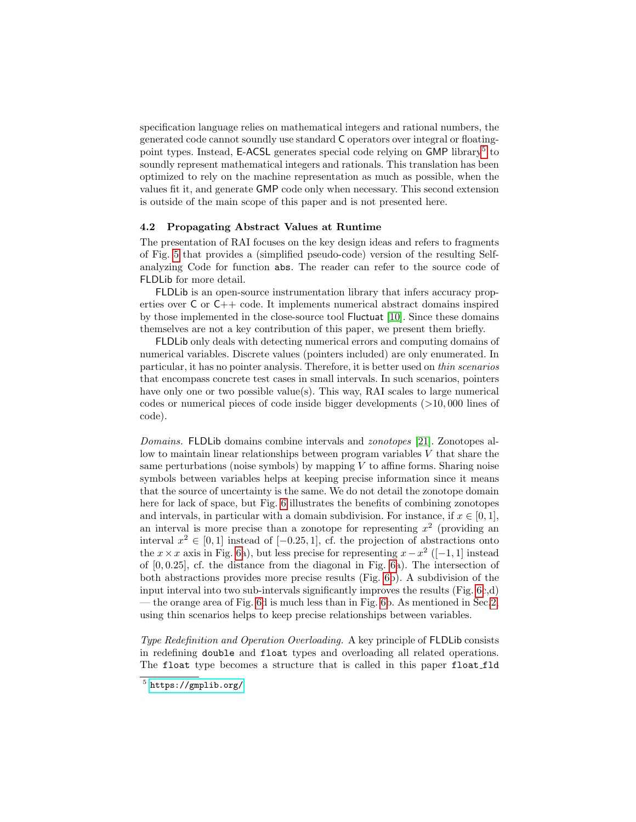specification language relies on mathematical integers and rational numbers, the generated code cannot soundly use standard C operators over integral or floating-point types. Instead, E-ACSL generates special code relying on GMP library<sup>[5](#page-8-1)</sup> to soundly represent mathematical integers and rationals. This translation has been optimized to rely on the machine representation as much as possible, when the values fit it, and generate GMP code only when necessary. This second extension is outside of the main scope of this paper and is not presented here.

#### <span id="page-8-0"></span>4.2 Propagating Abstract Values at Runtime

The presentation of RAI focuses on the key design ideas and refers to fragments of Fig. [5](#page-9-0) that provides a (simplified pseudo-code) version of the resulting Selfanalyzing Code for function abs. The reader can refer to the source code of FLDLib for more detail.

FLDLib is an open-source instrumentation library that infers accuracy properties over C or C++ code. It implements numerical abstract domains inspired by those implemented in the close-source tool Fluctuat [\[10\]](#page-20-9). Since these domains themselves are not a key contribution of this paper, we present them briefly.

FLDLib only deals with detecting numerical errors and computing domains of numerical variables. Discrete values (pointers included) are only enumerated. In particular, it has no pointer analysis. Therefore, it is better used on thin scenarios that encompass concrete test cases in small intervals. In such scenarios, pointers have only one or two possible value(s). This way, RAI scales to large numerical codes or numerical pieces of code inside bigger developments  $(>10,000)$  lines of code).

Domains. FLDLib domains combine intervals and zonotopes [\[21\]](#page-21-7). Zonotopes allow to maintain linear relationships between program variables V that share the same perturbations (noise symbols) by mapping  $V$  to affine forms. Sharing noise symbols between variables helps at keeping precise information since it means that the source of uncertainty is the same. We do not detail the zonotope domain here for lack of space, but Fig. [6](#page-10-0) illustrates the benefits of combining zonotopes and intervals, in particular with a domain subdivision. For instance, if  $x \in [0, 1]$ , an interval is more precise than a zonotope for representing  $x^2$  (providing an interval  $x^2 \in [0,1]$  instead of  $[-0.25,1]$ , cf. the projection of abstractions onto the  $x \times x$  axis in Fig. [6a](#page-10-0)), but less precise for representing  $x - x^2$  ([-1, 1] instead of [0, 0.25], cf. the distance from the diagonal in Fig. [6a](#page-10-0)). The intersection of both abstractions provides more precise results (Fig. [6b](#page-10-0)). A subdivision of the input interval into two sub-intervals significantly improves the results (Fig. [6c](#page-10-0),d) — the orange area of Fig. [6d](#page-10-0) is much less than in Fig. [6b](#page-10-0). As mentioned in Sec[.2,](#page-2-1) using thin scenarios helps to keep precise relationships between variables.

Type Redefinition and Operation Overloading. A key principle of FLDLib consists in redefining double and float types and overloading all related operations. The float type becomes a structure that is called in this paper float fld

<span id="page-8-1"></span> $^5$  <https://gmplib.org/>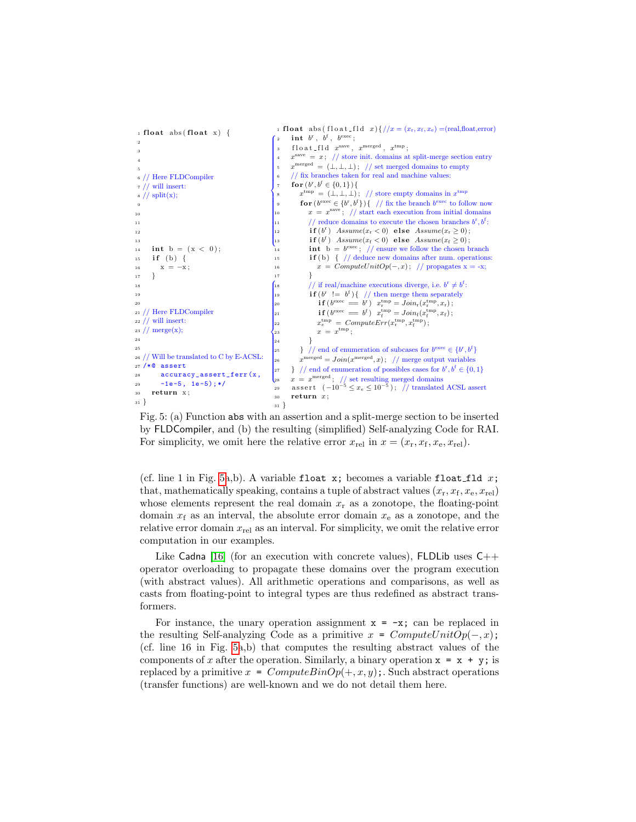```
_1 float abs (float x) {
 2
 3
 4
 5
 6 // Here FLDCompiler
 7 // will insert:
 s // split(x);
 9
10
11
12
13
14 int b = (x < 0);15 if (b) {
16 \quad x = -x;
17 }
18
19
2021 // Here FLDCompiler
_{22} // will insert:
_{23} // merge(x);
24
25
26 // Will be translated to C by E-ACSL:
27 /*\theta assert
28 accuracy_assert_ferr (x,
29 -1e-5, 1e-5); */
30 return x :
31 }
                                                             1 float abs ( float fld x) \frac{1}{x} = (x_r, x_f, x_e) = (real, float, error)\quad \text{int } b^{\text{r}} \, , \, b^{\text{f}} \, , \, b^{\text{exec}} \, ;\text{10 at } -\text{fld } x^{\text{save}}, x^{\text{merged}}, x^{\text{tmp}};x^{\text{save}} = x; // store init. domains at split-merge section entry
                                                             5 x^{\text{merged}} = (\bot, \bot, \bot); // set merged domains to empty<br>6 // fix branches taken for real and machine values:
                                                                   // fix branches taken for real and machine values
                                                              \tau for (b^{\text{r}}, b^{\text{f}} \in \{0, 1\}) {
                                                             \begin{array}{c} 8 \\ 9 \end{array}\int 2
                                                           \begin{bmatrix} 1 & 0 \\ 0 & 0 \\ 0 & 0 \\ 0 & 0 \end{bmatrix}\begin{bmatrix} 6 \\ 10 \\ 11 \\ 12 \\ 13 \\ 14 \end{bmatrix}x^{\text{tmp}} = (\perp, \perp, \perp); // store empty domains in x^{\text{tmp}}9 for (b^{\text{exec}} \in \{b^r, b^f\}) { // fix the branch b^{\text{exec}} to follow now
                                                             x = x^{\text{save}}; // start each execution from initial domains
                                                             <sup>11</sup> // reduce domains to execute the chosen branches b^r, b^f:
                                                             12 if (b^r) Assume(x_r < 0) else Assume(x_r \ge 0);
                                                             13 if (b^f) Assume(x_f < 0) else Assume(x_f \ge 0);
                                                             int \mathbf{b} = b^{\text{exec}}; // ensure we follow the chosen branch
                                                            15 if (b) \frac{1}{2} // deduce new domains after num. operations:
                                                            16 x = ComputeUnitOp(-, x); // propagates x = -x;
                                                            17 }
                                                             <sup>18</sup> // if real/machine executions diverge, i.e. b^r \neq b^f:
                                                             19 if (b^r := b^f) { // then merge them separately
                                                             20 \qquad \qquad \textbf{if} \; (b^{\text{exec}} = b^{\text{r}}) \; x^{\text{tmp}}_{\text{r}} = \textit{Join}_{\text{r}}(x^{\text{tmp}}_{\text{r}}, x_{\text{r}});
                                                             21 if (b^{\text{exec}} = b^{\text{f}}) x_{\text{f}}^{\text{tmp}} = Join_{\text{f}}(x_{\text{f}}^{\text{tmp}}, x_{\text{f}});22 x_e^{\text{tmp}} = ComputeErr(x_r^{\text{tmp}}, x_f^{\text{tmp}});\frac{1}{2}\int_{18}\begin{bmatrix} 16 \\ 16 \\ 20 \\ 21 \\ 22 \\ 26 \end{bmatrix}\begin{array}{c} 24 \\ 25 \\ 26 \\ 26 \\ 27 \\ 28 \end{array}x = x^{\text{tmp}};\begin{array}{ccc} \text{24} & & \text{ } \\ \end{array}25 } // end of enumeration of subcases for b^{\text{exec}} \in \{b^r, b^f\}26 x^{\text{merged}} = Join(x^{\text{merged}}, x); // merge output variables
                                                             27 } // end of enumeration of possibles cases for b^r, b^f \in \{0, 1\}x = x^{\text{merged}}; // set resulting merged domains
                                                             assert (-10^{-5} \le x_e \le 10^{-5}); // translated ACSL assert
                                                            30 return x:
                                                            31 }
```
Fig. 5: (a) Function abs with an assertion and a split-merge section to be inserted by FLDCompiler, and (b) the resulting (simplified) Self-analyzing Code for RAI. For simplicity, we omit here the relative error  $x_{\text{rel}}$  in  $x = (x_{\text{r}}, x_{\text{f}}, x_{\text{e}}, x_{\text{rel}})$ .

(cf. line 1 in Fig. [5a](#page-9-0),b). A variable float x; becomes a variable float fld x; that, mathematically speaking, contains a tuple of abstract values  $(x_r, x_f, x_e, x_{rel})$ whose elements represent the real domain  $x_r$  as a zonotope, the floating-point domain  $x_f$  as an interval, the absolute error domain  $x_e$  as a zonotope, and the relative error domain  $x_{rel}$  as an interval. For simplicity, we omit the relative error computation in our examples.

Like Cadna [\[16\]](#page-21-2) (for an execution with concrete values), FLDLib uses  $C_{++}$ operator overloading to propagate these domains over the program execution (with abstract values). All arithmetic operations and comparisons, as well as casts from floating-point to integral types are thus redefined as abstract transformers.

For instance, the unary operation assignment  $x = -x$ ; can be replaced in the resulting Self-analyzing Code as a primitive  $x = ComputeUnitOp(-, x);$ (cf. line 16 in Fig. [5a](#page-9-0),b) that computes the resulting abstract values of the components of x after the operation. Similarly, a binary operation  $x = x + y$ ; is replaced by a primitive  $x = ComputeBinOp(+, x, y)$ ;. Such abstract operations (transfer functions) are well-known and we do not detail them here.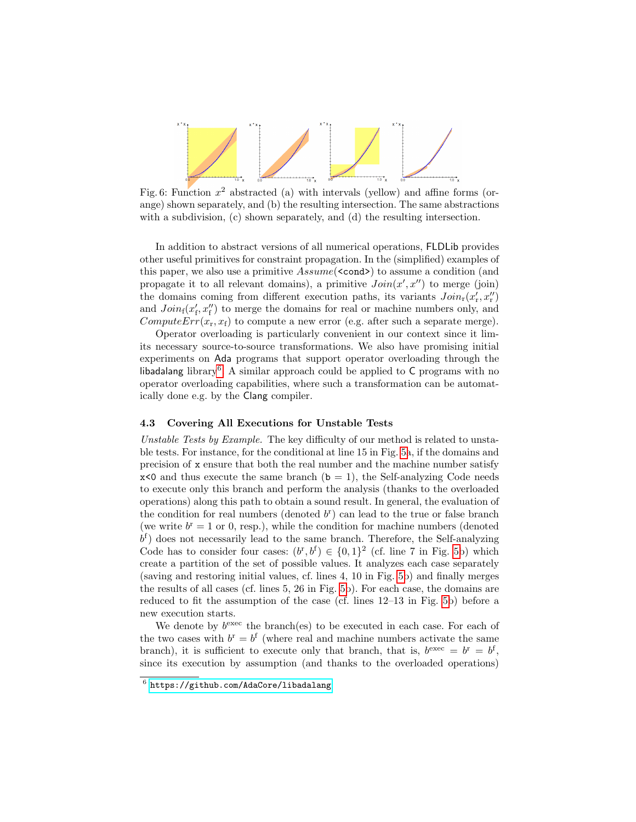<span id="page-10-0"></span>

Fig. 6: Function  $x^2$  abstracted (a) with intervals (yellow) and affine forms (orange) shown separately, and (b) the resulting intersection. The same abstractions with a subdivision, (c) shown separately, and (d) the resulting intersection.

In addition to abstract versions of all numerical operations, FLDLib provides other useful primitives for constraint propagation. In the (simplified) examples of this paper, we also use a primitive  $Assume(\text{cond})$  to assume a condition (and propagate it to all relevant domains), a primitive  $Join(x', x'')$  to merge (join) the domains coming from different execution paths, its variants  $Join_{r}(x'_{r}, x''_{r})$ and  $Join_{f}(x'_{f}, x''_{f})$  to merge the domains for real or machine numbers only, and Compute $Err(x_r, x_f)$  to compute a new error (e.g. after such a separate merge).

Operator overloading is particularly convenient in our context since it limits necessary source-to-source transformations. We also have promising initial experiments on Ada programs that support operator overloading through the libadalang library<sup>[6](#page-10-2)</sup>. A similar approach could be applied to C programs with no operator overloading capabilities, where such a transformation can be automatically done e.g. by the Clang compiler.

### <span id="page-10-1"></span>4.3 Covering All Executions for Unstable Tests

Unstable Tests by Example. The key difficulty of our method is related to unstable tests. For instance, for the conditional at line 15 in Fig. [5a](#page-9-0), if the domains and precision of x ensure that both the real number and the machine number satisfy  $x$ <0 and thus execute the same branch ( $b = 1$ ), the Self-analyzing Code needs to execute only this branch and perform the analysis (thanks to the overloaded operations) along this path to obtain a sound result. In general, the evaluation of the condition for real numbers (denoted  $b<sup>r</sup>$ ) can lead to the true or false branch (we write  $b^r = 1$  or 0, resp.), while the condition for machine numbers (denoted  $b<sup>f</sup>$ ) does not necessarily lead to the same branch. Therefore, the Self-analyzing Code has to consider four cases:  $(b^r, b^f) \in \{0, 1\}^2$  (cf. line 7 in Fig. [5b](#page-9-0)) which create a partition of the set of possible values. It analyzes each case separately (saving and restoring initial values, cf. lines 4, 10 in Fig. [5b](#page-9-0)) and finally merges the results of all cases (cf. lines 5, 26 in Fig. [5b](#page-9-0)). For each case, the domains are reduced to fit the assumption of the case (cf. lines 12–13 in Fig. [5b](#page-9-0)) before a new execution starts.

We denote by  $b^{\text{exec}}$  the branch(es) to be executed in each case. For each of the two cases with  $b^r = b^f$  (where real and machine numbers activate the same branch), it is sufficient to execute only that branch, that is,  $b^{\text{exec}} = b^{\text{r}} = b^{\text{f}}$ , since its execution by assumption (and thanks to the overloaded operations)

<span id="page-10-2"></span> $^6$  <https://github.com/AdaCore/libadalang>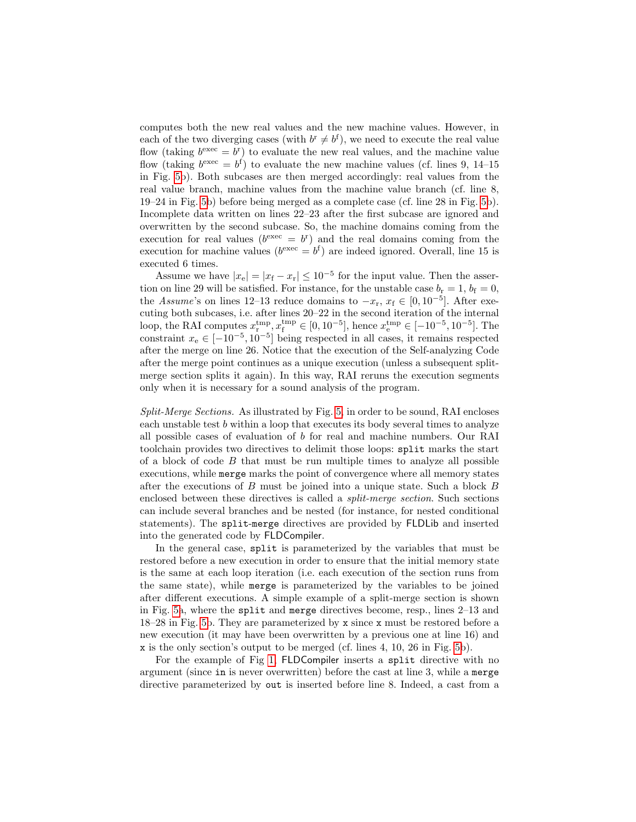computes both the new real values and the new machine values. However, in each of the two diverging cases (with  $b^r \neq b^f$ ), we need to execute the real value flow (taking  $b^{\text{exec}} = b^{\text{r}}$ ) to evaluate the new real values, and the machine value flow (taking  $b^{\text{exec}} = b^{\text{f}}$ ) to evaluate the new machine values (cf. lines 9, 14–15 in Fig. [5b](#page-9-0)). Both subcases are then merged accordingly: real values from the real value branch, machine values from the machine value branch (cf. line 8, 19–24 in Fig. [5b](#page-9-0)) before being merged as a complete case (cf. line 28 in Fig. [5b](#page-9-0)). Incomplete data written on lines 22–23 after the first subcase are ignored and overwritten by the second subcase. So, the machine domains coming from the execution for real values ( $b^{\text{exec}} = b^{\text{r}}$ ) and the real domains coming from the execution for machine values ( $b^{\text{exec}} = b^{\text{f}}$ ) are indeed ignored. Overall, line 15 is executed 6 times.

Assume we have  $|x_e| = |x_f - x_r| \leq 10^{-5}$  for the input value. Then the assertion on line 29 will be satisfied. For instance, for the unstable case  $b_r = 1$ ,  $b_f = 0$ , the Assume's on lines 12–13 reduce domains to  $-x_r$ ,  $x_f \in [0, 10^{-5}]$ . After executing both subcases, i.e. after lines 20–22 in the second iteration of the internal loop, the RAI computes  $x_r^{\text{tmp}}, x_f^{\text{tmp}} \in [0, 10^{-5}]$ , hence  $x_e^{\text{tmp}} \in [-10^{-5}, 10^{-5}]$ . The constraint  $x_e \in [-10^{-5}, 10^{-5}]$  being respected in all cases, it remains respected after the merge on line 26. Notice that the execution of the Self-analyzing Code after the merge point continues as a unique execution (unless a subsequent splitmerge section splits it again). In this way, RAI reruns the execution segments only when it is necessary for a sound analysis of the program.

Split-Merge Sections. As illustrated by Fig. [5,](#page-9-0) in order to be sound, RAI encloses each unstable test b within a loop that executes its body several times to analyze all possible cases of evaluation of b for real and machine numbers. Our RAI toolchain provides two directives to delimit those loops: split marks the start of a block of code  $B$  that must be run multiple times to analyze all possible executions, while merge marks the point of convergence where all memory states after the executions of B must be joined into a unique state. Such a block B enclosed between these directives is called a split-merge section. Such sections can include several branches and be nested (for instance, for nested conditional statements). The split-merge directives are provided by FLDLib and inserted into the generated code by FLDCompiler.

In the general case, split is parameterized by the variables that must be restored before a new execution in order to ensure that the initial memory state is the same at each loop iteration (i.e. each execution of the section runs from the same state), while merge is parameterized by the variables to be joined after different executions. A simple example of a split-merge section is shown in Fig. [5a](#page-9-0), where the split and merge directives become, resp., lines 2–13 and 18–28 in Fig. [5b](#page-9-0). They are parameterized by x since x must be restored before a new execution (it may have been overwritten by a previous one at line 16) and x is the only section's output to be merged (cf. lines 4, 10, 26 in Fig. [5b](#page-9-0)).

For the example of Fig [1,](#page-3-0) FLDCompiler inserts a split directive with no argument (since in is never overwritten) before the cast at line 3, while a merge directive parameterized by out is inserted before line 8. Indeed, a cast from a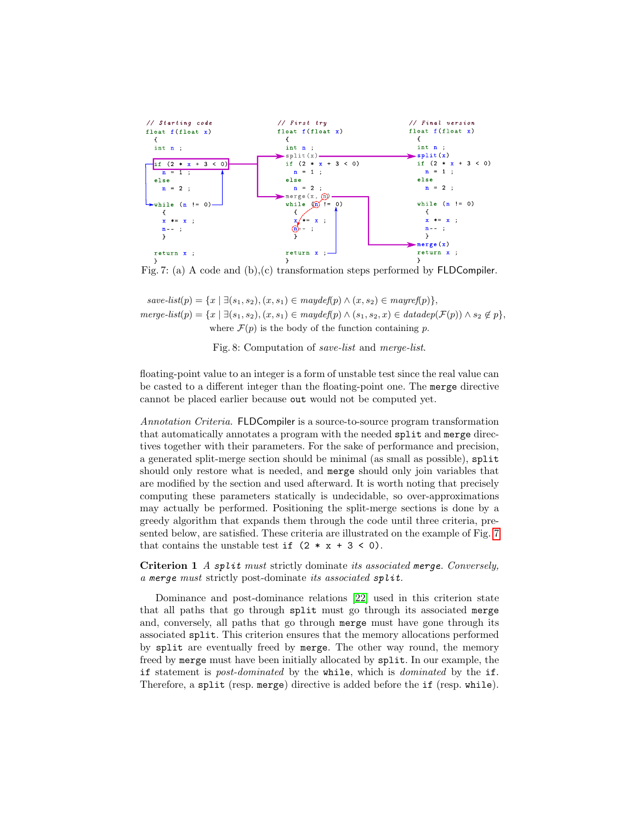<span id="page-12-0"></span>

<span id="page-12-1"></span>Fig. 7: (a) A code and  $(b)$ , (c) transformation steps performed by **FLDCompiler**.

 $save-list(p) = \{x \mid \exists (s_1, s_2), (x, s_1) \in maydef(p) \land (x, s_2) \in mayref(p)\},\$  $merge\text{-}list(p) = \{x \mid \exists (s_1, s_2), (x, s_1) \in maybe(f(p) \land (s_1, s_2, x) \in datadep(\mathcal{F}(p)) \land s_2 \notin p\},\$ where  $\mathcal{F}(p)$  is the body of the function containing p.

Fig. 8: Computation of save-list and merge-list.

floating-point value to an integer is a form of unstable test since the real value can be casted to a different integer than the floating-point one. The merge directive cannot be placed earlier because out would not be computed yet.

Annotation Criteria. FLDCompiler is a source-to-source program transformation that automatically annotates a program with the needed split and merge directives together with their parameters. For the sake of performance and precision, a generated split-merge section should be minimal (as small as possible), split should only restore what is needed, and merge should only join variables that are modified by the section and used afterward. It is worth noting that precisely computing these parameters statically is undecidable, so over-approximations may actually be performed. Positioning the split-merge sections is done by a greedy algorithm that expands them through the code until three criteria, presented below, are satisfied. These criteria are illustrated on the example of Fig. [7](#page-12-0) that contains the unstable test if  $(2 * x + 3 < 0)$ .

Criterion 1 A split must strictly dominate its associated merge. Conversely, a merge must strictly post-dominate its associated split.

Dominance and post-dominance relations [\[22\]](#page-21-8) used in this criterion state that all paths that go through split must go through its associated merge and, conversely, all paths that go through merge must have gone through its associated split. This criterion ensures that the memory allocations performed by split are eventually freed by merge. The other way round, the memory freed by merge must have been initially allocated by split. In our example, the if statement is *post-dominated* by the while, which is *dominated* by the if. Therefore, a split (resp. merge) directive is added before the if (resp. while).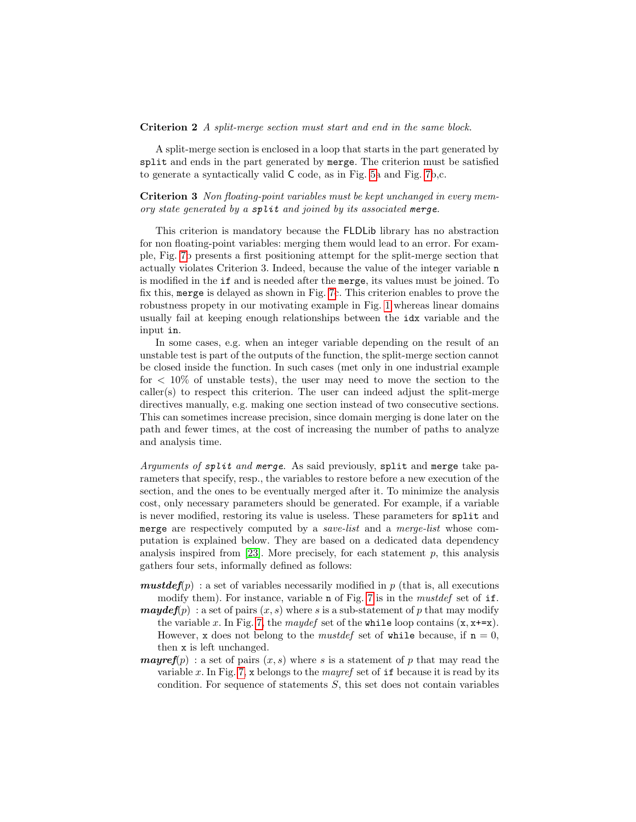#### Criterion 2 A split-merge section must start and end in the same block.

A split-merge section is enclosed in a loop that starts in the part generated by split and ends in the part generated by merge. The criterion must be satisfied to generate a syntactically valid C code, as in Fig. [5a](#page-9-0) and Fig. [7b](#page-12-0),c.

## Criterion 3 Non floating-point variables must be kept unchanged in every memory state generated by a split and joined by its associated merge.

This criterion is mandatory because the FLDLib library has no abstraction for non floating-point variables: merging them would lead to an error. For example, Fig. [7b](#page-12-0) presents a first positioning attempt for the split-merge section that actually violates Criterion 3. Indeed, because the value of the integer variable n is modified in the if and is needed after the merge, its values must be joined. To fix this, merge is delayed as shown in Fig. [7c](#page-12-0). This criterion enables to prove the robustness propety in our motivating example in Fig. [1](#page-3-0) whereas linear domains usually fail at keeping enough relationships between the idx variable and the input in.

In some cases, e.g. when an integer variable depending on the result of an unstable test is part of the outputs of the function, the split-merge section cannot be closed inside the function. In such cases (met only in one industrial example for  $\langle 10\%$  of unstable tests), the user may need to move the section to the caller(s) to respect this criterion. The user can indeed adjust the split-merge directives manually, e.g. making one section instead of two consecutive sections. This can sometimes increase precision, since domain merging is done later on the path and fewer times, at the cost of increasing the number of paths to analyze and analysis time.

Arguments of split and merge. As said previously, split and merge take parameters that specify, resp., the variables to restore before a new execution of the section, and the ones to be eventually merged after it. To minimize the analysis cost, only necessary parameters should be generated. For example, if a variable is never modified, restoring its value is useless. These parameters for split and merge are respectively computed by a *save-list* and a *merge-list* whose computation is explained below. They are based on a dedicated data dependency analysis inspired from  $[23]$ . More precisely, for each statement p, this analysis gathers four sets, informally defined as follows:

- **mustdef**(p) : a set of variables necessarily modified in p (that is, all executions modify them). For instance, variable **n** of Fig. [7](#page-12-0) is in the *mustdef* set of if.
- $maydef(p)$ : a set of pairs  $(x, s)$  where s is a sub-statement of p that may modify the variable x. In Fig. [7,](#page-12-0) the *maydef* set of the while loop contains  $(x, x+=x)$ . However, x does not belong to the *mustdef* set of while because, if  $n = 0$ , then x is left unchanged.
- $\mathbf{mayerf}(p)$ : a set of pairs  $(x, s)$  where s is a statement of p that may read the variable x. In Fig. [7,](#page-12-0) x belongs to the *mayref* set of  $if$  because it is read by its condition. For sequence of statements  $S$ , this set does not contain variables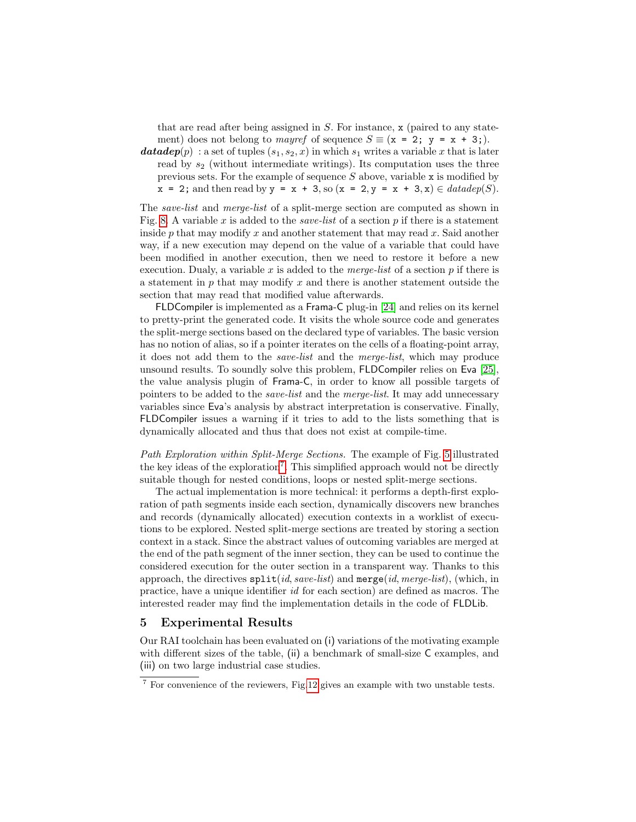that are read after being assigned in  $S$ . For instance,  $x$  (paired to any statement) does not belong to *mayref* of sequence  $S \equiv (x = 2; y = x + 3; )$ .

**datadep**(p) : a set of tuples  $(s_1, s_2, x)$  in which  $s_1$  writes a variable x that is later read by  $s_2$  (without intermediate writings). Its computation uses the three previous sets. For the example of sequence  $S$  above, variable x is modified by  $x = 2$ ; and then read by  $y = x + 3$ , so  $(x = 2, y = x + 3, x) \in \text{database}(S)$ .

The save-list and merge-list of a split-merge section are computed as shown in Fig. [8.](#page-12-1) A variable x is added to the *save-list* of a section p if there is a statement inside p that may modify x and another statement that may read  $x$ . Said another way, if a new execution may depend on the value of a variable that could have been modified in another execution, then we need to restore it before a new execution. Dualy, a variable x is added to the *merge-list* of a section p if there is a statement in  $p$  that may modify  $x$  and there is another statement outside the section that may read that modified value afterwards.

FLDCompiler is implemented as a Frama-C plug-in [\[24\]](#page-21-10) and relies on its kernel to pretty-print the generated code. It visits the whole source code and generates the split-merge sections based on the declared type of variables. The basic version has no notion of alias, so if a pointer iterates on the cells of a floating-point array, it does not add them to the save-list and the merge-list, which may produce unsound results. To soundly solve this problem, FLDCompiler relies on Eva [\[25\]](#page-21-11), the value analysis plugin of Frama-C, in order to know all possible targets of pointers to be added to the *save-list* and the *merge-list*. It may add unnecessary variables since Eva's analysis by abstract interpretation is conservative. Finally, FLDCompiler issues a warning if it tries to add to the lists something that is dynamically allocated and thus that does not exist at compile-time.

Path Exploration within Split-Merge Sections. The example of Fig. [5](#page-9-0) illustrated the key ideas of the exploration<sup>[7](#page-14-1)</sup>. This simplified approach would not be directly suitable though for nested conditions, loops or nested split-merge sections.

The actual implementation is more technical: it performs a depth-first exploration of path segments inside each section, dynamically discovers new branches and records (dynamically allocated) execution contexts in a worklist of executions to be explored. Nested split-merge sections are treated by storing a section context in a stack. Since the abstract values of outcoming variables are merged at the end of the path segment of the inner section, they can be used to continue the considered execution for the outer section in a transparent way. Thanks to this approach, the directives  $\text{split}(id, save-list)$  and  $\text{merge}(id, merge-list)$ , (which, in practice, have a unique identifier id for each section) are defined as macros. The interested reader may find the implementation details in the code of FLDLib.

## <span id="page-14-0"></span>5 Experimental Results

Our RAI toolchain has been evaluated on (i) variations of the motivating example with different sizes of the table, (ii) a benchmark of small-size  $C$  examples, and (iii) on two large industrial case studies.

<span id="page-14-1"></span><sup>7</sup> For convenience of the reviewers, Fig[.12](#page-25-0) gives an example with two unstable tests.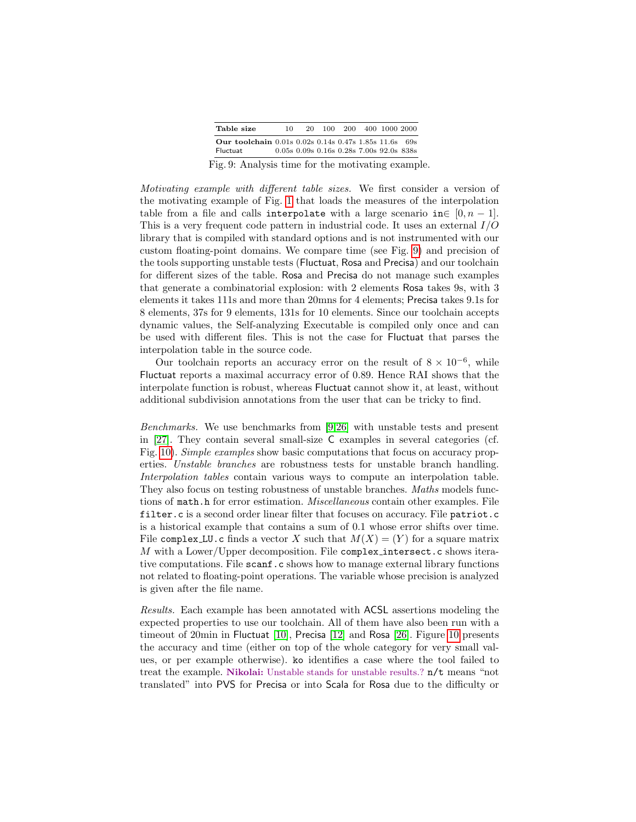| Table size                                                                      | 10 | 20. | 100 | 200                                        | 400 1000 2000 |  |
|---------------------------------------------------------------------------------|----|-----|-----|--------------------------------------------|---------------|--|
| <b>Our toolchain</b> 0.01s 0.02s 0.14s 0.47s 1.85s 11.6s 69s<br><b>Fluctuat</b> |    |     |     | $0.05s$ 0.09s 0.16s 0.28s 7.00s 92.0s 838s |               |  |

Fig. 9: Analysis time for the motivating example.

<span id="page-15-0"></span>Motivating example with different table sizes. We first consider a version of the motivating example of Fig. [1](#page-3-0) that loads the measures of the interpolation table from a file and calls interpolate with a large scenario in∈  $[0, n - 1]$ . This is a very frequent code pattern in industrial code. It uses an external  $I/O$ library that is compiled with standard options and is not instrumented with our custom floating-point domains. We compare time (see Fig. [9\)](#page-15-0) and precision of the tools supporting unstable tests (Fluctuat, Rosa and Precisa) and our toolchain for different sizes of the table. Rosa and Precisa do not manage such examples that generate a combinatorial explosion: with 2 elements Rosa takes 9s, with 3 elements it takes 111s and more than 20mns for 4 elements; Precisa takes 9.1s for 8 elements, 37s for 9 elements, 131s for 10 elements. Since our toolchain accepts dynamic values, the Self-analyzing Executable is compiled only once and can be used with different files. This is not the case for Fluctuat that parses the interpolation table in the source code.

Our toolchain reports an accuracy error on the result of  $8 \times 10^{-6}$ , while Fluctuat reports a maximal accurracy error of 0.89. Hence RAI shows that the interpolate function is robust, whereas Fluctuat cannot show it, at least, without additional subdivision annotations from the user that can be tricky to find.

Benchmarks. We use benchmarks from [\[9,](#page-20-8)[26\]](#page-21-12) with unstable tests and present in [\[27\]](#page-21-13). They contain several small-size C examples in several categories (cf. Fig. [10\)](#page-16-0). Simple examples show basic computations that focus on accuracy properties. Unstable branches are robustness tests for unstable branch handling. Interpolation tables contain various ways to compute an interpolation table. They also focus on testing robustness of unstable branches. Maths models functions of math.h for error estimation. Miscellaneous contain other examples. File filter.c is a second order linear filter that focuses on accuracy. File patriot.c is a historical example that contains a sum of 0.1 whose error shifts over time. File complex LU.c finds a vector X such that  $M(X) = (Y)$  for a square matrix  $M$  with a Lower/Upper decomposition. File complex intersect.c shows iterative computations. File scanf.c shows how to manage external library functions not related to floating-point operations. The variable whose precision is analyzed is given after the file name.

Results. Each example has been annotated with ACSL assertions modeling the expected properties to use our toolchain. All of them have also been run with a timeout of 20min in Fluctuat [\[10\]](#page-20-9), Precisa [\[12\]](#page-20-11) and Rosa [\[26\]](#page-21-12). Figure [10](#page-16-0) presents the accuracy and time (either on top of the whole category for very small values, or per example otherwise). ko identifies a case where the tool failed to treat the example. Nikolai: Unstable stands for unstable results.? n/t means "not translated" into PVS for Precisa or into Scala for Rosa due to the difficulty or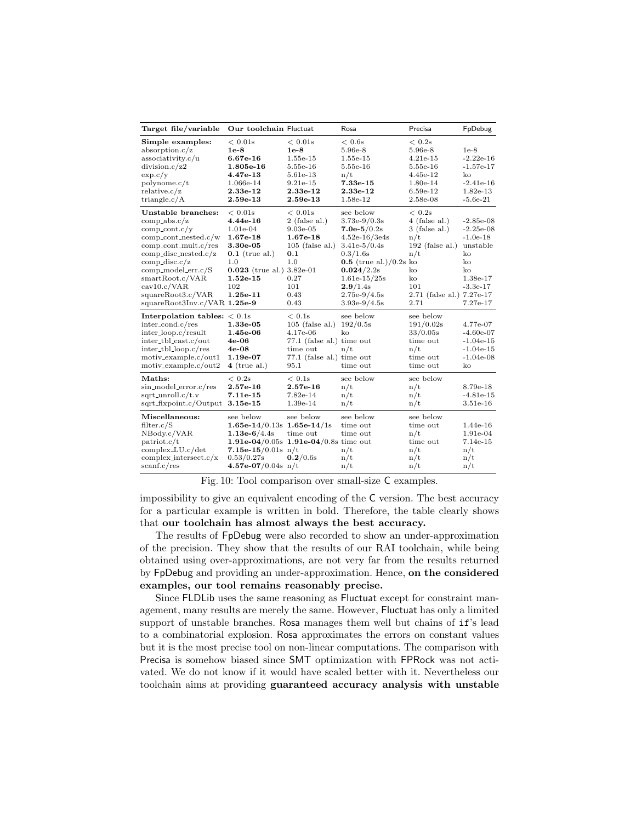<span id="page-16-0"></span>

| Target file/variable                                                                                                                                                                                                                                                                                       | Our toolchain Fluctuat                                                                                                                                           |                                                                                                                           | Rosa                                                                                                                                                                                                           | Precisa                                                                                                                                    | FpDebug                                                                                                      |
|------------------------------------------------------------------------------------------------------------------------------------------------------------------------------------------------------------------------------------------------------------------------------------------------------------|------------------------------------------------------------------------------------------------------------------------------------------------------------------|---------------------------------------------------------------------------------------------------------------------------|----------------------------------------------------------------------------------------------------------------------------------------------------------------------------------------------------------------|--------------------------------------------------------------------------------------------------------------------------------------------|--------------------------------------------------------------------------------------------------------------|
| Simple examples:<br>absorption.c/z<br>associativity.c/u<br>division. $c/z2$<br>$\exp .c/y$<br>polynome.c/t<br>relative.c/z<br>triangle. $c/A$                                                                                                                                                              | $< 0.01$ s<br>$1e-8$<br>6.67e-16<br>$1.805e-16$<br>$4.47e-13$<br>1.066e-14<br>$2.33e-12$<br>$2.59e-13$                                                           | $< 0.01$ s<br>$1e-8$<br>1.55e-15<br>5.55e-16<br>5.61e-13<br>$9.21e-15$<br>$2.33e-12$<br>$2.59e-13$                        | < 0.6s<br>5.96e-8<br>1.55e-15<br>5.55e-16<br>n/t<br>7.33e-15<br>$2.33e-12$<br>1.58e-12                                                                                                                         | $< 0.2$ s<br>5.96e-8<br>$4.21e-15$<br>5.55e-16<br>4.45e-12<br>1.80e-14<br>6.59e-12<br>2.58e-08                                             | $1e-8$<br>$-2.22e-16$<br>$-1.57e-17$<br>ko<br>$-2.41e-16$<br>$1.82e-13$<br>$-5.6e-21$                        |
| Unstable branches:<br>$comp_abs.c/z$<br>$comp_{cont.c/y}$<br>$comp_{cont\_nested.c/w}$<br>$comp_{cont\_mult.c,res}$<br>$comp\_disc\_nested.c/z$<br>$comp\_disc.c/z$<br>$comp_model_error.S$<br>smartRoot.c/VAR<br>$\frac{\text{cav10.c}}{\text{VAR}}$<br>squareRoot3.c/VAR<br>squareRoot3Inv.c/VAR 1.25e-9 | $< 0.01$ s<br>$4.44e-16$<br>1.01e-04<br>1.67e-18<br>3.30e-05<br>$0.1$ (true al.)<br>$1.0\,$<br>$0.023$ (true al.) 3.82e-01<br>$1.52e-15$<br>102<br>1.25e-11      | $< 0.01$ s<br>$2$ (false al.)<br>$9.03e-05$<br>1.67e-18<br>$105$ (false al.)<br>0.1<br>1.0<br>0.27<br>101<br>0.43<br>0.43 | see below<br>$3.73e-9/0.3s$<br>$7.0e-5/0.2s$<br>$4.52e-16/3e4s$<br>$3.41e-5/0.4s$<br>0.3/1.6s<br><b>0.5</b> (true al.)/0.2s ko<br>0.024/2.2s<br>$1.61e-15/25s$<br>2.9/1.4s<br>$2.75e-9/4.5s$<br>$3.93e-9/4.5s$ | $< 0.2$ s<br>$4$ (false al.)<br>$3$ (false al.)<br>n/t<br>$192$ (false al.)<br>n/t<br>ko<br>ko<br>101<br>2.71 (false al.) 7.27e-17<br>2.71 | $-2.85e-08$<br>$-2.25e-08$<br>$-1.0e-18$<br>unstable<br>ko<br>ko<br>ko<br>1.38e-17<br>$-3.3e-17$<br>7.27e-17 |
| Interpolation tables: $< 0.1$ s<br>inter_cond.c/res<br>inter_loop.c/result<br>inter_tbl_cast.c/out<br>inter_tbl_loop.c/res<br>$motiv_example.c/out1$<br>$motiv$ -example. $c/out2$                                                                                                                         | 1.33e-05<br>1.45e-06<br>$4e-06$<br>4e-08<br>1.19e-07<br>$4$ (true al.)                                                                                           | < 0.1s<br>$105$ (false al.)<br>4.17e-06<br>77.1 (false al.) time out<br>time out<br>77.1 (false al.) time out<br>95.1     | see below<br>192/0.5s<br>ko<br>n/t<br>time out                                                                                                                                                                 | see below<br>191/0.02s<br>33/0.05s<br>time out<br>n/t<br>time out<br>time out                                                              | 4.77e-07<br>$-4.60e-07$<br>$-1.04e-15$<br>$-1.04e-15$<br>-1.04e-08<br>ko                                     |
| Maths:<br>sin_model_error.c/res<br>$sqrt_{\text{curv}}$<br>$sqrt_{\rm strpoint.c}/\rm Output$                                                                                                                                                                                                              | < 0.2s<br>$2.57e-16$<br>7.11e-15<br>$3.15e-15$                                                                                                                   | < 0.1s<br>$2.57$ e-16<br>$7.82e-14$<br>1.39e-14                                                                           | see below<br>n/t<br>n/t<br>n/t                                                                                                                                                                                 | see below<br>n/t<br>n/t<br>n/t                                                                                                             | 8.79e-18<br>$-4.81e-15$<br>3.51e-16                                                                          |
| Miscellaneous:<br>filter.c/ $S$<br>NBody.c/VAR<br>partiot.c/t<br>complex_LU.c/det<br>$complex_{\text{intersect.c}/x}$<br>$scanf.c$ / $res$                                                                                                                                                                 | see below<br>1.65e-14/0.13s 1.65e-14/1s<br>$1.13e-6/4.4s$<br>1.91e-04/0.05s 1.91e-04/0.8s time out<br>7.15e-15/0.01s $n/t$<br>0.53/0.27s<br>4.57e-07/0.04s $n/t$ | see below<br>time out<br>0.2/0.6s                                                                                         | see below<br>time out<br>time out<br>n/t<br>n/t<br>n/t                                                                                                                                                         | see below<br>time out<br>n/t<br>time out<br>n/t<br>n/t<br>n/t                                                                              | 1.44e-16<br>1.91e-04<br>7.14e-15<br>n/t<br>n/t<br>n/t                                                        |

Fig. 10: Tool comparison over small-size C examples.

impossibility to give an equivalent encoding of the C version. The best accuracy for a particular example is written in bold. Therefore, the table clearly shows that our toolchain has almost always the best accuracy.

The results of FpDebug were also recorded to show an under-approximation of the precision. They show that the results of our RAI toolchain, while being obtained using over-approximations, are not very far from the results returned by FpDebug and providing an under-approximation. Hence, on the considered examples, our tool remains reasonably precise.

Since FLDLib uses the same reasoning as Fluctuat except for constraint management, many results are merely the same. However, Fluctuat has only a limited support of unstable branches. Rosa manages them well but chains of if's lead to a combinatorial explosion. Rosa approximates the errors on constant values but it is the most precise tool on non-linear computations. The comparison with Precisa is somehow biased since SMT optimization with FPRock was not activated. We do not know if it would have scaled better with it. Nevertheless our toolchain aims at providing guaranteed accuracy analysis with unstable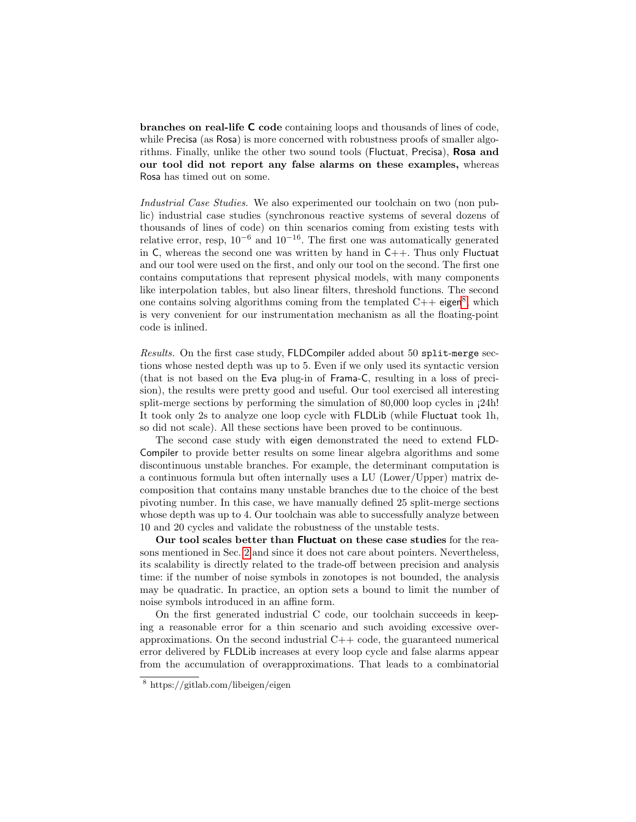branches on real-life C code containing loops and thousands of lines of code, while Precisa (as Rosa) is more concerned with robustness proofs of smaller algorithms. Finally, unlike the other two sound tools (Fluctuat, Precisa), Rosa and our tool did not report any false alarms on these examples, whereas Rosa has timed out on some.

Industrial Case Studies. We also experimented our toolchain on two (non public) industrial case studies (synchronous reactive systems of several dozens of thousands of lines of code) on thin scenarios coming from existing tests with relative error, resp,  $10^{-6}$  and  $10^{-16}$ . The first one was automatically generated in  $C$ , whereas the second one was written by hand in  $C++$ . Thus only Fluctuat and our tool were used on the first, and only our tool on the second. The first one contains computations that represent physical models, with many components like interpolation tables, but also linear filters, threshold functions. The second one contains solving algorithms coming from the templated  $C++$  eigen<sup>[8](#page-17-0)</sup>, which is very convenient for our instrumentation mechanism as all the floating-point code is inlined.

Results. On the first case study, FLDCompiler added about 50 split-merge sections whose nested depth was up to 5. Even if we only used its syntactic version (that is not based on the Eva plug-in of Frama-C, resulting in a loss of precision), the results were pretty good and useful. Our tool exercised all interesting split-merge sections by performing the simulation of  $80,000$  loop cycles in  $(24h!)$ It took only 2s to analyze one loop cycle with FLDLib (while Fluctuat took 1h, so did not scale). All these sections have been proved to be continuous.

The second case study with eigen demonstrated the need to extend FLD-Compiler to provide better results on some linear algebra algorithms and some discontinuous unstable branches. For example, the determinant computation is a continuous formula but often internally uses a LU (Lower/Upper) matrix decomposition that contains many unstable branches due to the choice of the best pivoting number. In this case, we have manually defined 25 split-merge sections whose depth was up to 4. Our toolchain was able to successfully analyze between 10 and 20 cycles and validate the robustness of the unstable tests.

Our tool scales better than Fluctuat on these case studies for the reasons mentioned in Sec. [2](#page-2-1) and since it does not care about pointers. Nevertheless, its scalability is directly related to the trade-off between precision and analysis time: if the number of noise symbols in zonotopes is not bounded, the analysis may be quadratic. In practice, an option sets a bound to limit the number of noise symbols introduced in an affine form.

On the first generated industrial C code, our toolchain succeeds in keeping a reasonable error for a thin scenario and such avoiding excessive overapproximations. On the second industrial  $C++$  code, the guaranteed numerical error delivered by FLDLib increases at every loop cycle and false alarms appear from the accumulation of overapproximations. That leads to a combinatorial

<span id="page-17-0"></span><sup>8</sup> https://gitlab.com/libeigen/eigen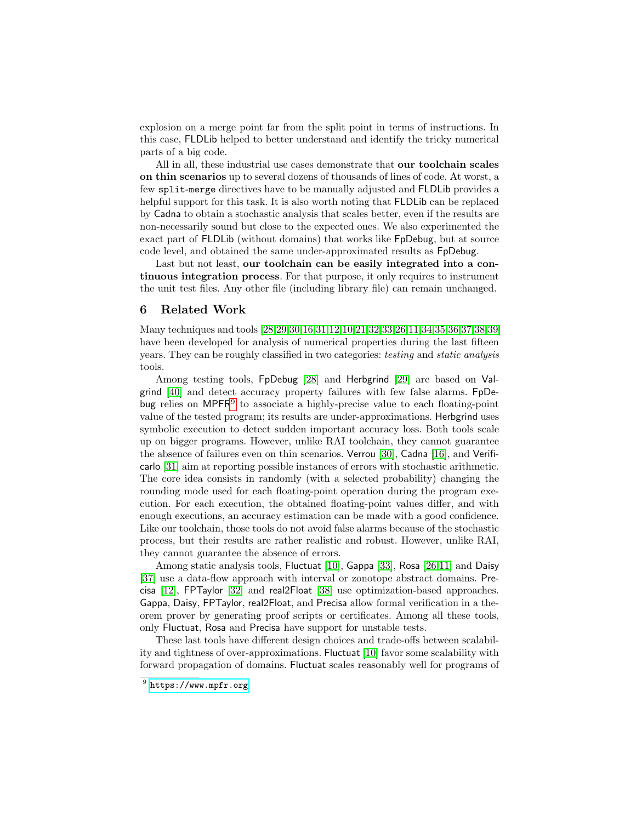explosion on a merge point far from the split point in terms of instructions. In this case, FLDLib helped to better understand and identify the tricky numerical parts of a big code.

All in all, these industrial use cases demonstrate that our toolchain scales on thin scenarios up to several dozens of thousands of lines of code. At worst, a few split-merge directives have to be manually adjusted and FLDLib provides a helpful support for this task. It is also worth noting that **FLDL** ib can be replaced by Cadna to obtain a stochastic analysis that scales better, even if the results are non-necessarily sound but close to the expected ones. We also experimented the exact part of FLDLib (without domains) that works like FpDebug, but at source code level, and obtained the same under-approximated results as FpDebug.

Last but not least, our toolchain can be easily integrated into a continuous integration process. For that purpose, it only requires to instrument the unit test files. Any other file (including library file) can remain unchanged.

## <span id="page-18-0"></span>6 Related Work

Many techniques and tools [\[28](#page-21-14)[,29,](#page-21-15)[30,](#page-21-16)[16](#page-21-2)[,31,](#page-21-17)[12,](#page-20-11)[10,](#page-20-9)[21](#page-21-7)[,32,](#page-21-18)[33,](#page-21-19)[26,](#page-21-12)[11,](#page-20-10)[34,](#page-22-0)[35,](#page-22-1)[36](#page-22-2)[,37,](#page-22-3)[38,](#page-22-4)[39\]](#page-22-5) have been developed for analysis of numerical properties during the last fifteen years. They can be roughly classified in two categories: testing and static analysis tools.

Among testing tools, FpDebug [\[28\]](#page-21-14) and Herbgrind [\[29\]](#page-21-15) are based on Valgrind [\[40\]](#page-22-6) and detect accuracy property failures with few false alarms. FpDe-bug relies on MPFR<sup>[9](#page-18-1)</sup> to associate a highly-precise value to each floating-point value of the tested program; its results are under-approximations. Herbgrind uses symbolic execution to detect sudden important accuracy loss. Both tools scale up on bigger programs. However, unlike RAI toolchain, they cannot guarantee the absence of failures even on thin scenarios. Verrou [\[30\]](#page-21-16), Cadna [\[16\]](#page-21-2), and Verificarlo [\[31\]](#page-21-17) aim at reporting possible instances of errors with stochastic arithmetic. The core idea consists in randomly (with a selected probability) changing the rounding mode used for each floating-point operation during the program execution. For each execution, the obtained floating-point values differ, and with enough executions, an accuracy estimation can be made with a good confidence. Like our toolchain, those tools do not avoid false alarms because of the stochastic process, but their results are rather realistic and robust. However, unlike RAI, they cannot guarantee the absence of errors.

Among static analysis tools, Fluctuat [\[10\]](#page-20-9), Gappa [\[33\]](#page-21-19), Rosa [\[26](#page-21-12)[,11\]](#page-20-10) and Daisy [\[37\]](#page-22-3) use a data-flow approach with interval or zonotope abstract domains. Precisa [\[12\]](#page-20-11), FPTaylor [\[32\]](#page-21-18) and real2Float [\[38\]](#page-22-4) use optimization-based approaches. Gappa, Daisy, FPTaylor, real2Float, and Precisa allow formal verification in a theorem prover by generating proof scripts or certificates. Among all these tools, only Fluctuat, Rosa and Precisa have support for unstable tests.

These last tools have different design choices and trade-offs between scalability and tightness of over-approximations. Fluctuat [\[10\]](#page-20-9) favor some scalability with forward propagation of domains. Fluctuat scales reasonably well for programs of

<span id="page-18-1"></span> $^9$  <https://www.mpfr.org>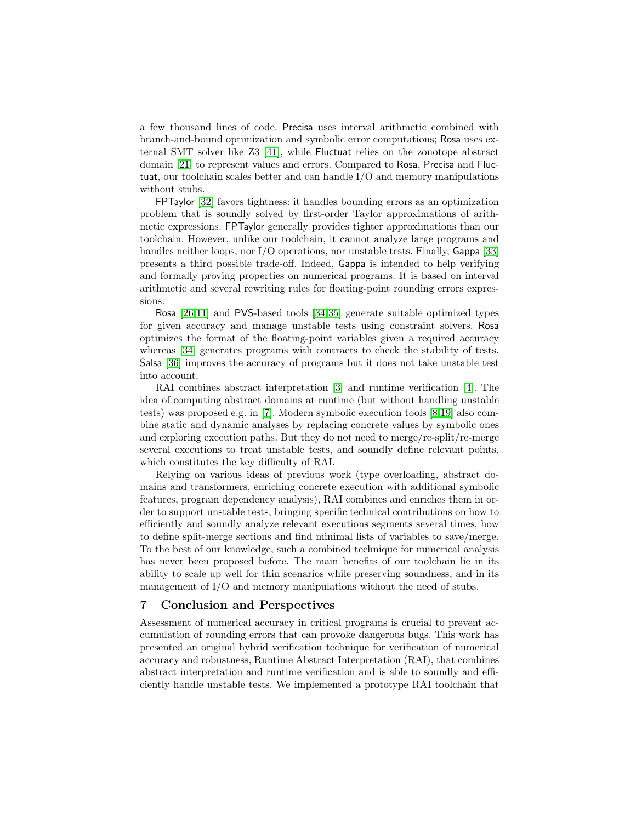a few thousand lines of code. Precisa uses interval arithmetic combined with branch-and-bound optimization and symbolic error computations; Rosa uses external SMT solver like Z3 [\[41\]](#page-22-7), while Fluctuat relies on the zonotope abstract domain [\[21\]](#page-21-7) to represent values and errors. Compared to Rosa, Precisa and Fluctuat, our toolchain scales better and can handle I/O and memory manipulations without stubs.

FPTaylor [\[32\]](#page-21-18) favors tightness: it handles bounding errors as an optimization problem that is soundly solved by first-order Taylor approximations of arithmetic expressions. FPTaylor generally provides tighter approximations than our toolchain. However, unlike our toolchain, it cannot analyze large programs and handles neither loops, nor I/O operations, nor unstable tests. Finally, Gappa [\[33\]](#page-21-19) presents a third possible trade-off. Indeed, Gappa is intended to help verifying and formally proving properties on numerical programs. It is based on interval arithmetic and several rewriting rules for floating-point rounding errors expressions.

Rosa [\[26](#page-21-12)[,11\]](#page-20-10) and PVS-based tools [\[34](#page-22-0)[,35\]](#page-22-1) generate suitable optimized types for given accuracy and manage unstable tests using constraint solvers. Rosa optimizes the format of the floating-point variables given a required accuracy whereas [\[34\]](#page-22-0) generates programs with contracts to check the stability of tests. Salsa [\[36\]](#page-22-2) improves the accuracy of programs but it does not take unstable test into account.

RAI combines abstract interpretation [\[3\]](#page-20-2) and runtime verification [\[4\]](#page-20-3). The idea of computing abstract domains at runtime (but without handling unstable tests) was proposed e.g. in [\[7\]](#page-20-6). Modern symbolic execution tools [\[8](#page-20-7)[,19\]](#page-21-5) also combine static and dynamic analyses by replacing concrete values by symbolic ones and exploring execution paths. But they do not need to merge/re-split/re-merge several executions to treat unstable tests, and soundly define relevant points, which constitutes the key difficulty of RAI.

Relying on various ideas of previous work (type overloading, abstract domains and transformers, enriching concrete execution with additional symbolic features, program dependency analysis), RAI combines and enriches them in order to support unstable tests, bringing specific technical contributions on how to efficiently and soundly analyze relevant executions segments several times, how to define split-merge sections and find minimal lists of variables to save/merge. To the best of our knowledge, such a combined technique for numerical analysis has never been proposed before. The main benefits of our toolchain lie in its ability to scale up well for thin scenarios while preserving soundness, and in its management of I/O and memory manipulations without the need of stubs.

# <span id="page-19-0"></span>7 Conclusion and Perspectives

Assessment of numerical accuracy in critical programs is crucial to prevent accumulation of rounding errors that can provoke dangerous bugs. This work has presented an original hybrid verification technique for verification of numerical accuracy and robustness, Runtime Abstract Interpretation (RAI), that combines abstract interpretation and runtime verification and is able to soundly and efficiently handle unstable tests. We implemented a prototype RAI toolchain that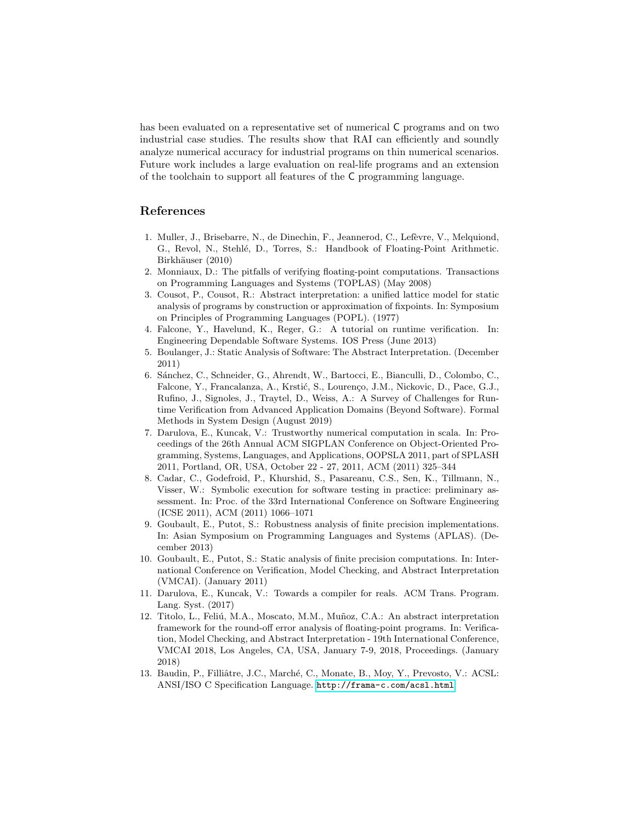has been evaluated on a representative set of numerical C programs and on two industrial case studies. The results show that RAI can efficiently and soundly analyze numerical accuracy for industrial programs on thin numerical scenarios. Future work includes a large evaluation on real-life programs and an extension of the toolchain to support all features of the C programming language.

## References

- <span id="page-20-0"></span>1. Muller, J., Brisebarre, N., de Dinechin, F., Jeannerod, C., Lefèvre, V., Melquiond, G., Revol, N., Stehlé, D., Torres, S.: Handbook of Floating-Point Arithmetic. Birkhäuser (2010)
- <span id="page-20-1"></span>2. Monniaux, D.: The pitfalls of verifying floating-point computations. Transactions on Programming Languages and Systems (TOPLAS) (May 2008)
- <span id="page-20-2"></span>3. Cousot, P., Cousot, R.: Abstract interpretation: a unified lattice model for static analysis of programs by construction or approximation of fixpoints. In: Symposium on Principles of Programming Languages (POPL). (1977)
- <span id="page-20-3"></span>4. Falcone, Y., Havelund, K., Reger, G.: A tutorial on runtime verification. In: Engineering Dependable Software Systems. IOS Press (June 2013)
- <span id="page-20-4"></span>5. Boulanger, J.: Static Analysis of Software: The Abstract Interpretation. (December 2011)
- <span id="page-20-5"></span>6. S´anchez, C., Schneider, G., Ahrendt, W., Bartocci, E., Bianculli, D., Colombo, C., Falcone, Y., Francalanza, A., Krstić, S., Lourenço, J.M., Nickovic, D., Pace, G.J., Rufino, J., Signoles, J., Traytel, D., Weiss, A.: A Survey of Challenges for Runtime Verification from Advanced Application Domains (Beyond Software). Formal Methods in System Design (August 2019)
- <span id="page-20-6"></span>7. Darulova, E., Kuncak, V.: Trustworthy numerical computation in scala. In: Proceedings of the 26th Annual ACM SIGPLAN Conference on Object-Oriented Programming, Systems, Languages, and Applications, OOPSLA 2011, part of SPLASH 2011, Portland, OR, USA, October 22 - 27, 2011, ACM (2011) 325–344
- <span id="page-20-7"></span>8. Cadar, C., Godefroid, P., Khurshid, S., Pasareanu, C.S., Sen, K., Tillmann, N., Visser, W.: Symbolic execution for software testing in practice: preliminary assessment. In: Proc. of the 33rd International Conference on Software Engineering (ICSE 2011), ACM (2011) 1066–1071
- <span id="page-20-8"></span>9. Goubault, E., Putot, S.: Robustness analysis of finite precision implementations. In: Asian Symposium on Programming Languages and Systems (APLAS). (December 2013)
- <span id="page-20-9"></span>10. Goubault, E., Putot, S.: Static analysis of finite precision computations. In: International Conference on Verification, Model Checking, and Abstract Interpretation (VMCAI). (January 2011)
- <span id="page-20-10"></span>11. Darulova, E., Kuncak, V.: Towards a compiler for reals. ACM Trans. Program. Lang. Syst. (2017)
- <span id="page-20-11"></span>12. Titolo, L., Feliú, M.A., Moscato, M.M., Muñoz, C.A.: An abstract interpretation framework for the round-off error analysis of floating-point programs. In: Verification, Model Checking, and Abstract Interpretation - 19th International Conference, VMCAI 2018, Los Angeles, CA, USA, January 7-9, 2018, Proceedings. (January 2018)
- <span id="page-20-12"></span>13. Baudin, P., Filliâtre, J.C., Marché, C., Monate, B., Moy, Y., Prevosto, V.: ACSL: ANSI/ISO C Specification Language. <http://frama-c.com/acsl.html>.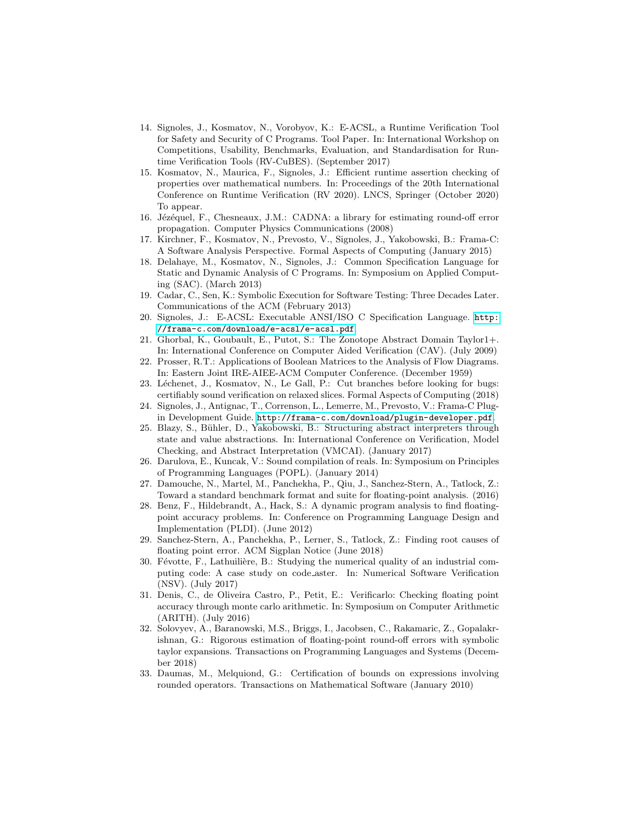- <span id="page-21-0"></span>14. Signoles, J., Kosmatov, N., Vorobyov, K.: E-ACSL, a Runtime Verification Tool for Safety and Security of C Programs. Tool Paper. In: International Workshop on Competitions, Usability, Benchmarks, Evaluation, and Standardisation for Runtime Verification Tools (RV-CuBES). (September 2017)
- <span id="page-21-1"></span>15. Kosmatov, N., Maurica, F., Signoles, J.: Efficient runtime assertion checking of properties over mathematical numbers. In: Proceedings of the 20th International Conference on Runtime Verification (RV 2020). LNCS, Springer (October 2020) To appear.
- <span id="page-21-2"></span>16. Jézéquel, F., Chesneaux, J.M.: CADNA: a library for estimating round-off error propagation. Computer Physics Communications (2008)
- <span id="page-21-3"></span>17. Kirchner, F., Kosmatov, N., Prevosto, V., Signoles, J., Yakobowski, B.: Frama-C: A Software Analysis Perspective. Formal Aspects of Computing (January 2015)
- <span id="page-21-4"></span>18. Delahaye, M., Kosmatov, N., Signoles, J.: Common Specification Language for Static and Dynamic Analysis of C Programs. In: Symposium on Applied Computing (SAC). (March 2013)
- <span id="page-21-5"></span>19. Cadar, C., Sen, K.: Symbolic Execution for Software Testing: Three Decades Later. Communications of the ACM (February 2013)
- <span id="page-21-6"></span>20. Signoles, J.: E-ACSL: Executable ANSI/ISO C Specification Language. [http:](http://frama-c.com/download/e-acsl/e-acsl.pdf) [//frama-c.com/download/e-acsl/e-acsl.pdf](http://frama-c.com/download/e-acsl/e-acsl.pdf).
- <span id="page-21-7"></span>21. Ghorbal, K., Goubault, E., Putot, S.: The Zonotope Abstract Domain Taylor1+. In: International Conference on Computer Aided Verification (CAV). (July 2009)
- <span id="page-21-8"></span>22. Prosser, R.T.: Applications of Boolean Matrices to the Analysis of Flow Diagrams. In: Eastern Joint IRE-AIEE-ACM Computer Conference. (December 1959)
- <span id="page-21-9"></span>23. Léchenet, J., Kosmatov, N., Le Gall, P.: Cut branches before looking for bugs: certifiably sound verification on relaxed slices. Formal Aspects of Computing (2018)
- <span id="page-21-10"></span>24. Signoles, J., Antignac, T., Correnson, L., Lemerre, M., Prevosto, V.: Frama-C Plugin Development Guide. <http://frama-c.com/download/plugin-developer.pdf>.
- <span id="page-21-11"></span>25. Blazy, S., Bühler, D., Yakobowski, B.: Structuring abstract interpreters through state and value abstractions. In: International Conference on Verification, Model Checking, and Abstract Interpretation (VMCAI). (January 2017)
- <span id="page-21-12"></span>26. Darulova, E., Kuncak, V.: Sound compilation of reals. In: Symposium on Principles of Programming Languages (POPL). (January 2014)
- <span id="page-21-13"></span>27. Damouche, N., Martel, M., Panchekha, P., Qiu, J., Sanchez-Stern, A., Tatlock, Z.: Toward a standard benchmark format and suite for floating-point analysis. (2016)
- <span id="page-21-14"></span>28. Benz, F., Hildebrandt, A., Hack, S.: A dynamic program analysis to find floatingpoint accuracy problems. In: Conference on Programming Language Design and Implementation (PLDI). (June 2012)
- <span id="page-21-15"></span>29. Sanchez-Stern, A., Panchekha, P., Lerner, S., Tatlock, Z.: Finding root causes of floating point error. ACM Sigplan Notice (June 2018)
- <span id="page-21-16"></span>30. Févotte, F., Lathuilière, B.: Studying the numerical quality of an industrial computing code: A case study on code aster. In: Numerical Software Verification (NSV). (July 2017)
- <span id="page-21-17"></span>31. Denis, C., de Oliveira Castro, P., Petit, E.: Verificarlo: Checking floating point accuracy through monte carlo arithmetic. In: Symposium on Computer Arithmetic (ARITH). (July 2016)
- <span id="page-21-18"></span>32. Solovyev, A., Baranowski, M.S., Briggs, I., Jacobsen, C., Rakamaric, Z., Gopalakrishnan, G.: Rigorous estimation of floating-point round-off errors with symbolic taylor expansions. Transactions on Programming Languages and Systems (December 2018)
- <span id="page-21-19"></span>33. Daumas, M., Melquiond, G.: Certification of bounds on expressions involving rounded operators. Transactions on Mathematical Software (January 2010)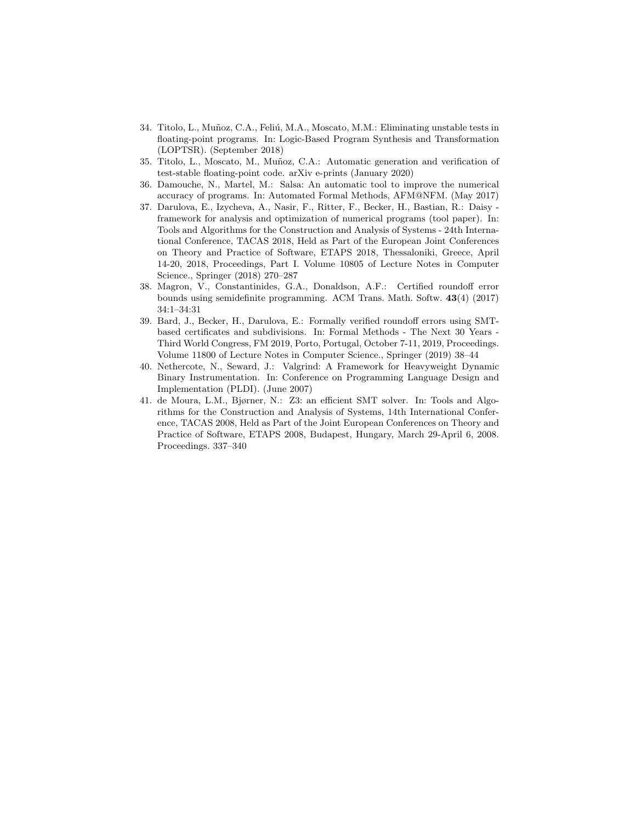- <span id="page-22-0"></span>34. Titolo, L., Muñoz, C.A., Feliú, M.A., Moscato, M.M.: Eliminating unstable tests in floating-point programs. In: Logic-Based Program Synthesis and Transformation (LOPTSR). (September 2018)
- <span id="page-22-1"></span>35. Titolo, L., Moscato, M., Mu˜noz, C.A.: Automatic generation and verification of test-stable floating-point code. arXiv e-prints (January 2020)
- <span id="page-22-2"></span>36. Damouche, N., Martel, M.: Salsa: An automatic tool to improve the numerical accuracy of programs. In: Automated Formal Methods, AFM@NFM. (May 2017)
- <span id="page-22-3"></span>37. Darulova, E., Izycheva, A., Nasir, F., Ritter, F., Becker, H., Bastian, R.: Daisy framework for analysis and optimization of numerical programs (tool paper). In: Tools and Algorithms for the Construction and Analysis of Systems - 24th International Conference, TACAS 2018, Held as Part of the European Joint Conferences on Theory and Practice of Software, ETAPS 2018, Thessaloniki, Greece, April 14-20, 2018, Proceedings, Part I. Volume 10805 of Lecture Notes in Computer Science., Springer (2018) 270–287
- <span id="page-22-4"></span>38. Magron, V., Constantinides, G.A., Donaldson, A.F.: Certified roundoff error bounds using semidefinite programming. ACM Trans. Math. Softw. 43(4) (2017) 34:1–34:31
- <span id="page-22-5"></span>39. Bard, J., Becker, H., Darulova, E.: Formally verified roundoff errors using SMTbased certificates and subdivisions. In: Formal Methods - The Next 30 Years - Third World Congress, FM 2019, Porto, Portugal, October 7-11, 2019, Proceedings. Volume 11800 of Lecture Notes in Computer Science., Springer (2019) 38–44
- <span id="page-22-6"></span>40. Nethercote, N., Seward, J.: Valgrind: A Framework for Heavyweight Dynamic Binary Instrumentation. In: Conference on Programming Language Design and Implementation (PLDI). (June 2007)
- <span id="page-22-7"></span>41. de Moura, L.M., Bjørner, N.: Z3: an efficient SMT solver. In: Tools and Algorithms for the Construction and Analysis of Systems, 14th International Conference, TACAS 2008, Held as Part of the Joint European Conferences on Theory and Practice of Software, ETAPS 2008, Budapest, Hungary, March 29-April 6, 2008. Proceedings. 337–340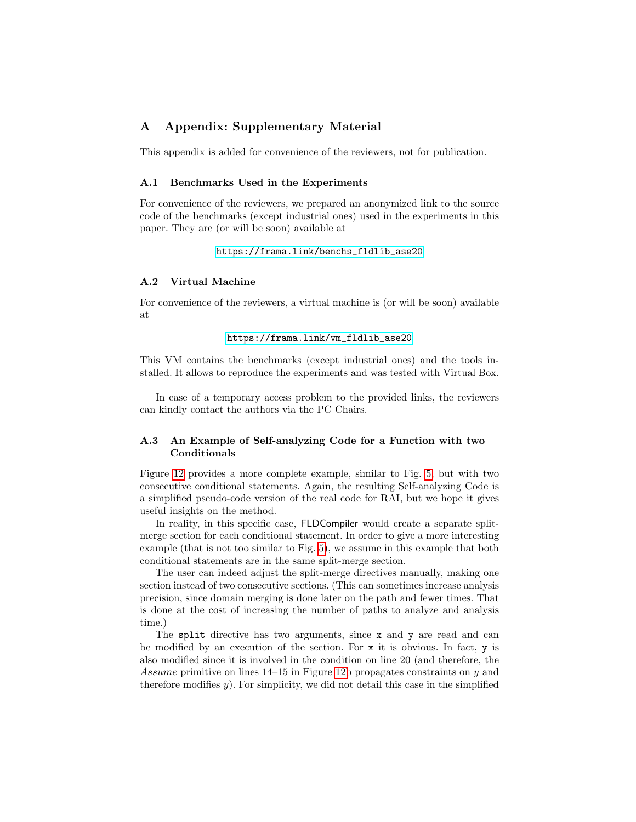## A Appendix: Supplementary Material

This appendix is added for convenience of the reviewers, not for publication.

#### A.1 Benchmarks Used in the Experiments

For convenience of the reviewers, we prepared an anonymized link to the source code of the benchmarks (except industrial ones) used in the experiments in this paper. They are (or will be soon) available at

#### [https://frama.link/benchs\\_fldlib\\_ase20](https://frama.link/benchs_fldlib_ase20)

#### A.2 Virtual Machine

For convenience of the reviewers, a virtual machine is (or will be soon) available at

#### [https://frama.link/vm\\_fldlib\\_ase20](https://frama.link/vm_fldlib_ase20)

This VM contains the benchmarks (except industrial ones) and the tools installed. It allows to reproduce the experiments and was tested with Virtual Box.

In case of a temporary access problem to the provided links, the reviewers can kindly contact the authors via the PC Chairs.

## A.3 An Example of Self-analyzing Code for a Function with two Conditionals

Figure [12](#page-25-0) provides a more complete example, similar to Fig. [5,](#page-9-0) but with two consecutive conditional statements. Again, the resulting Self-analyzing Code is a simplified pseudo-code version of the real code for RAI, but we hope it gives useful insights on the method.

In reality, in this specific case, FLDCompiler would create a separate splitmerge section for each conditional statement. In order to give a more interesting example (that is not too similar to Fig. [5\)](#page-9-0), we assume in this example that both conditional statements are in the same split-merge section.

The user can indeed adjust the split-merge directives manually, making one section instead of two consecutive sections. (This can sometimes increase analysis precision, since domain merging is done later on the path and fewer times. That is done at the cost of increasing the number of paths to analyze and analysis time.)

The split directive has two arguments, since x and y are read and can be modified by an execution of the section. For  $x$  it is obvious. In fact,  $y$  is also modified since it is involved in the condition on line 20 (and therefore, the Assume primitive on lines 14–15 in Figure [12b](#page-25-0) propagates constraints on y and therefore modifies  $y$ ). For simplicity, we did not detail this case in the simplified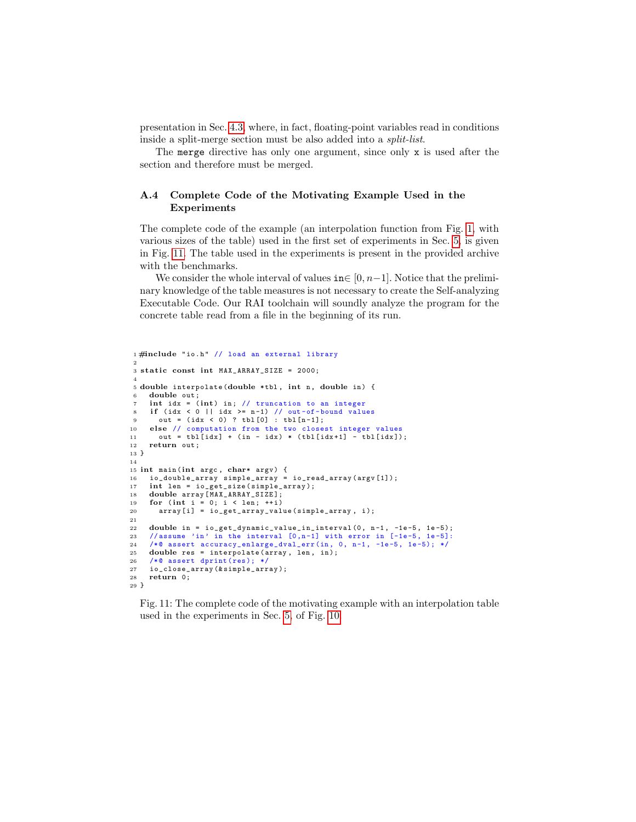presentation in Sec. [4.3,](#page-10-1) where, in fact, floating-point variables read in conditions inside a split-merge section must be also added into a split-list.

The merge directive has only one argument, since only x is used after the section and therefore must be merged.

## A.4 Complete Code of the Motivating Example Used in the Experiments

The complete code of the example (an interpolation function from Fig. [1,](#page-3-0) with various sizes of the table) used in the first set of experiments in Sec. [5,](#page-14-0) is given in Fig. [11.](#page-24-0) The table used in the experiments is present in the provided archive with the benchmarks.

We consider the whole interval of values in∈  $[0, n-1]$ . Notice that the preliminary knowledge of the table measures is not necessary to create the Self-analyzing Executable Code. Our RAI toolchain will soundly analyze the program for the concrete table read from a file in the beginning of its run.

```
1 #include "io.h" // load an external library
 2<br>3 static const int MAX_ARRAY_SIZE = 2000;
 4
5 double interpolate (double * tbl , int n , double in ) {
 6 double out ;
7 int idx = ( int ) in ; // truncation to an integer
 8 if (idx < 0 || idx >= n-1) // out-of-bound values<br>9 out = (idx < 0) ? tbl[0] : tbl[n-1];
10 else // computation from the two closest integer values<br>11 out = tbl[idx] + (in - idx) * (tbl[idx+1] - tbl[idx]);
12 return out;
13 }
14
15 int main (int argc, char* argv) {
16 io_double_array simple_array = io_read_array ( argv [1]);
17 int len = io_get_size ( simple_array );<br>18 double array [MAX ARRAY SIZE]:
     double array [MAX_ARRAY_SIZE];
19 for (int i = 0; i < len; ++i)
20 array [i] = io_get_array_value ( simple_array , i );
21
22 double in = io_get_dynamic_value_in_interval (0, n-1, -1e-5, 1e-5);
23 // assume 'in' in the interval [0, n-1] with error in [-1e-5, 1e-5]:
24 /*@ assert accuracy_enlarge_dval_err(in, 0, n-1, -1e-5, 1e-5); */<br>25 double res = interpolate(arrav. len. in):
25 double res = interpolate (array, len, in);<br>26 /*0 assert dorint (res): */
26 /*@ assert dprint (res); */<br>27 io close arrav (& simple arr
     io_close_array (& simple_array);
28 return 0;
29 }
```
Fig. 11: The complete code of the motivating example with an interpolation table used in the experiments in Sec. [5,](#page-14-0) of Fig. [10.](#page-16-0)